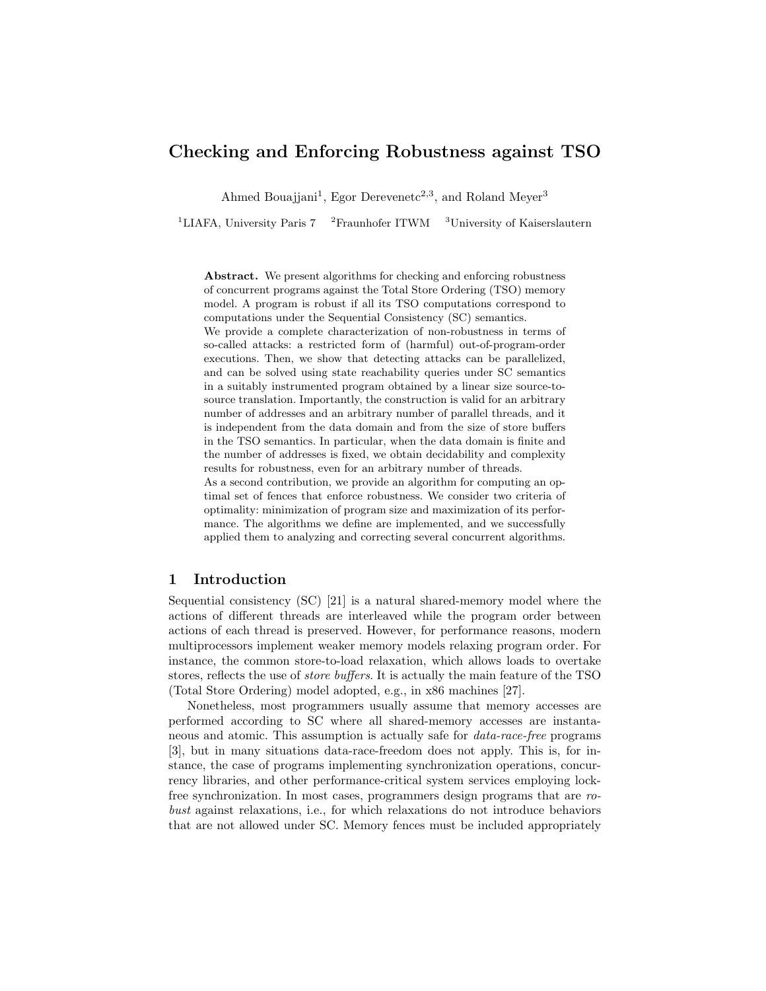# Checking and Enforcing Robustness against TSO

Ahmed Bouajjani<sup>1</sup>, Egor Derevenetc<sup>2,3</sup>, and Roland Meyer<sup>3</sup>

<sup>1</sup>LIAFA, University Paris 7 <sup>2</sup>Fraunhofer ITWM <sup>3</sup>University of Kaiserslautern

Abstract. We present algorithms for checking and enforcing robustness of concurrent programs against the Total Store Ordering (TSO) memory model. A program is robust if all its TSO computations correspond to computations under the Sequential Consistency (SC) semantics.

We provide a complete characterization of non-robustness in terms of so-called attacks: a restricted form of (harmful) out-of-program-order executions. Then, we show that detecting attacks can be parallelized, and can be solved using state reachability queries under SC semantics in a suitably instrumented program obtained by a linear size source-tosource translation. Importantly, the construction is valid for an arbitrary number of addresses and an arbitrary number of parallel threads, and it is independent from the data domain and from the size of store buffers in the TSO semantics. In particular, when the data domain is finite and the number of addresses is fixed, we obtain decidability and complexity results for robustness, even for an arbitrary number of threads.

As a second contribution, we provide an algorithm for computing an optimal set of fences that enforce robustness. We consider two criteria of optimality: minimization of program size and maximization of its performance. The algorithms we define are implemented, and we successfully applied them to analyzing and correcting several concurrent algorithms.

# 1 Introduction

Sequential consistency (SC) [\[21\]](#page-20-0) is a natural shared-memory model where the actions of different threads are interleaved while the program order between actions of each thread is preserved. However, for performance reasons, modern multiprocessors implement weaker memory models relaxing program order. For instance, the common store-to-load relaxation, which allows loads to overtake stores, reflects the use of store buffers. It is actually the main feature of the TSO (Total Store Ordering) model adopted, e.g., in x86 machines [\[27\]](#page-20-1).

Nonetheless, most programmers usually assume that memory accesses are performed according to SC where all shared-memory accesses are instantaneous and atomic. This assumption is actually safe for data-race-free programs [\[3\]](#page-19-0), but in many situations data-race-freedom does not apply. This is, for instance, the case of programs implementing synchronization operations, concurrency libraries, and other performance-critical system services employing lockfree synchronization. In most cases, programmers design programs that are robust against relaxations, i.e., for which relaxations do not introduce behaviors that are not allowed under SC. Memory fences must be included appropriately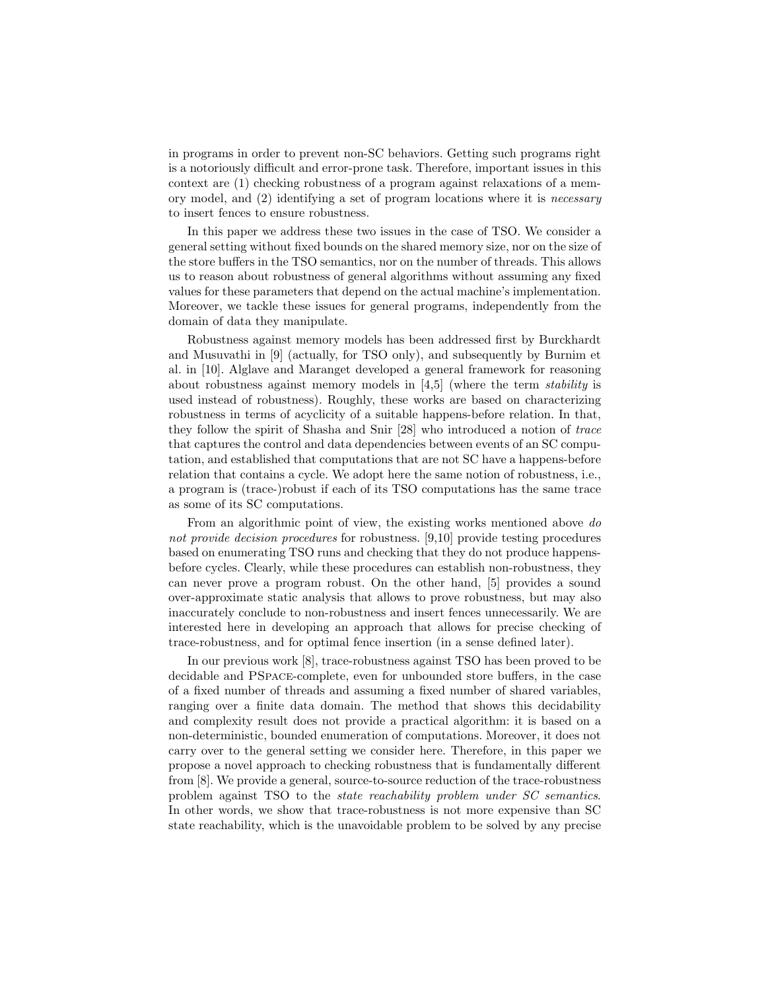in programs in order to prevent non-SC behaviors. Getting such programs right is a notoriously difficult and error-prone task. Therefore, important issues in this context are (1) checking robustness of a program against relaxations of a memory model, and (2) identifying a set of program locations where it is necessary to insert fences to ensure robustness.

In this paper we address these two issues in the case of TSO. We consider a general setting without fixed bounds on the shared memory size, nor on the size of the store buffers in the TSO semantics, nor on the number of threads. This allows us to reason about robustness of general algorithms without assuming any fixed values for these parameters that depend on the actual machine's implementation. Moreover, we tackle these issues for general programs, independently from the domain of data they manipulate.

Robustness against memory models has been addressed first by Burckhardt and Musuvathi in [\[9\]](#page-19-1) (actually, for TSO only), and subsequently by Burnim et al. in [\[10\]](#page-19-2). Alglave and Maranget developed a general framework for reasoning about robustness against memory models in [\[4,](#page-19-3)[5\]](#page-19-4) (where the term stability is used instead of robustness). Roughly, these works are based on characterizing robustness in terms of acyclicity of a suitable happens-before relation. In that, they follow the spirit of Shasha and Snir [\[28\]](#page-20-2) who introduced a notion of trace that captures the control and data dependencies between events of an SC computation, and established that computations that are not SC have a happens-before relation that contains a cycle. We adopt here the same notion of robustness, i.e., a program is (trace-)robust if each of its TSO computations has the same trace as some of its SC computations.

From an algorithmic point of view, the existing works mentioned above do not provide decision procedures for robustness. [\[9,](#page-19-1)[10\]](#page-19-2) provide testing procedures based on enumerating TSO runs and checking that they do not produce happensbefore cycles. Clearly, while these procedures can establish non-robustness, they can never prove a program robust. On the other hand, [\[5\]](#page-19-4) provides a sound over-approximate static analysis that allows to prove robustness, but may also inaccurately conclude to non-robustness and insert fences unnecessarily. We are interested here in developing an approach that allows for precise checking of trace-robustness, and for optimal fence insertion (in a sense defined later).

In our previous work [\[8\]](#page-19-5), trace-robustness against TSO has been proved to be decidable and PSpace-complete, even for unbounded store buffers, in the case of a fixed number of threads and assuming a fixed number of shared variables, ranging over a finite data domain. The method that shows this decidability and complexity result does not provide a practical algorithm: it is based on a non-deterministic, bounded enumeration of computations. Moreover, it does not carry over to the general setting we consider here. Therefore, in this paper we propose a novel approach to checking robustness that is fundamentally different from [\[8\]](#page-19-5). We provide a general, source-to-source reduction of the trace-robustness problem against TSO to the state reachability problem under SC semantics. In other words, we show that trace-robustness is not more expensive than SC state reachability, which is the unavoidable problem to be solved by any precise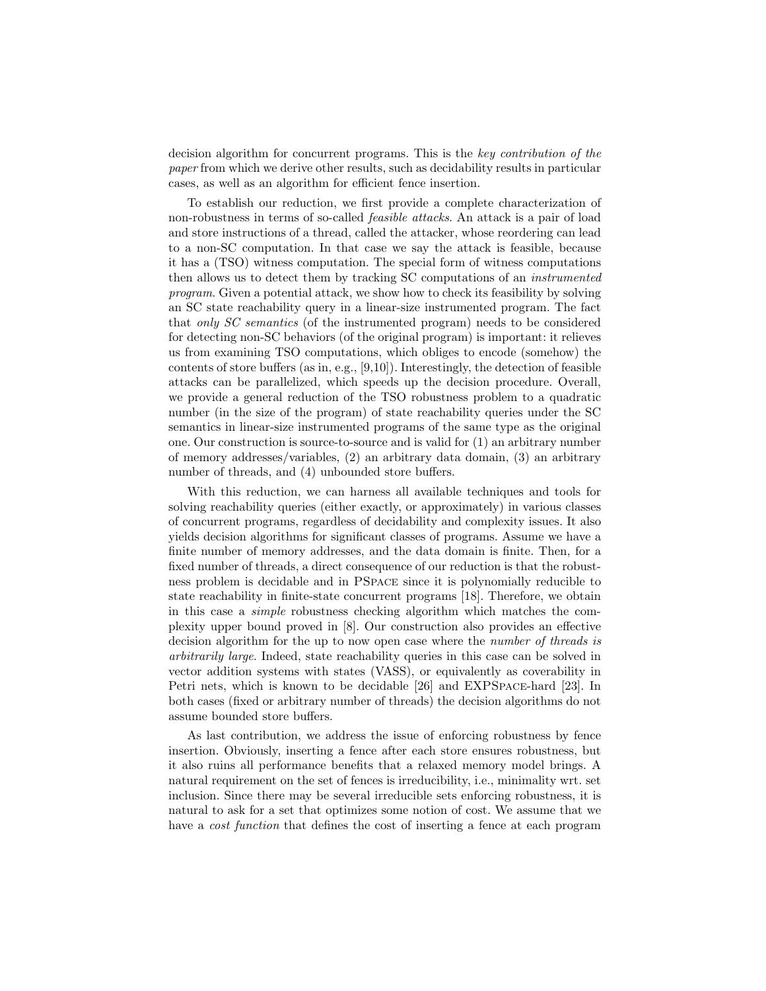decision algorithm for concurrent programs. This is the key contribution of the paper from which we derive other results, such as decidability results in particular cases, as well as an algorithm for efficient fence insertion.

To establish our reduction, we first provide a complete characterization of non-robustness in terms of so-called feasible attacks. An attack is a pair of load and store instructions of a thread, called the attacker, whose reordering can lead to a non-SC computation. In that case we say the attack is feasible, because it has a (TSO) witness computation. The special form of witness computations then allows us to detect them by tracking SC computations of an instrumented program. Given a potential attack, we show how to check its feasibility by solving an SC state reachability query in a linear-size instrumented program. The fact that only SC semantics (of the instrumented program) needs to be considered for detecting non-SC behaviors (of the original program) is important: it relieves us from examining TSO computations, which obliges to encode (somehow) the contents of store buffers (as in, e.g.,  $[9,10]$  $[9,10]$ ). Interestingly, the detection of feasible attacks can be parallelized, which speeds up the decision procedure. Overall, we provide a general reduction of the TSO robustness problem to a quadratic number (in the size of the program) of state reachability queries under the SC semantics in linear-size instrumented programs of the same type as the original one. Our construction is source-to-source and is valid for (1) an arbitrary number of memory addresses/variables, (2) an arbitrary data domain, (3) an arbitrary number of threads, and (4) unbounded store buffers.

With this reduction, we can harness all available techniques and tools for solving reachability queries (either exactly, or approximately) in various classes of concurrent programs, regardless of decidability and complexity issues. It also yields decision algorithms for significant classes of programs. Assume we have a finite number of memory addresses, and the data domain is finite. Then, for a fixed number of threads, a direct consequence of our reduction is that the robustness problem is decidable and in PSpace since it is polynomially reducible to state reachability in finite-state concurrent programs [\[18\]](#page-19-6). Therefore, we obtain in this case a simple robustness checking algorithm which matches the complexity upper bound proved in [\[8\]](#page-19-5). Our construction also provides an effective decision algorithm for the up to now open case where the *number of threads is* arbitrarily large. Indeed, state reachability queries in this case can be solved in vector addition systems with states (VASS), or equivalently as coverability in Petri nets, which is known to be decidable [\[26\]](#page-20-3) and EXPSpace-hard [\[23\]](#page-20-4). In both cases (fixed or arbitrary number of threads) the decision algorithms do not assume bounded store buffers.

As last contribution, we address the issue of enforcing robustness by fence insertion. Obviously, inserting a fence after each store ensures robustness, but it also ruins all performance benefits that a relaxed memory model brings. A natural requirement on the set of fences is irreducibility, i.e., minimality wrt. set inclusion. Since there may be several irreducible sets enforcing robustness, it is natural to ask for a set that optimizes some notion of cost. We assume that we have a *cost function* that defines the cost of inserting a fence at each program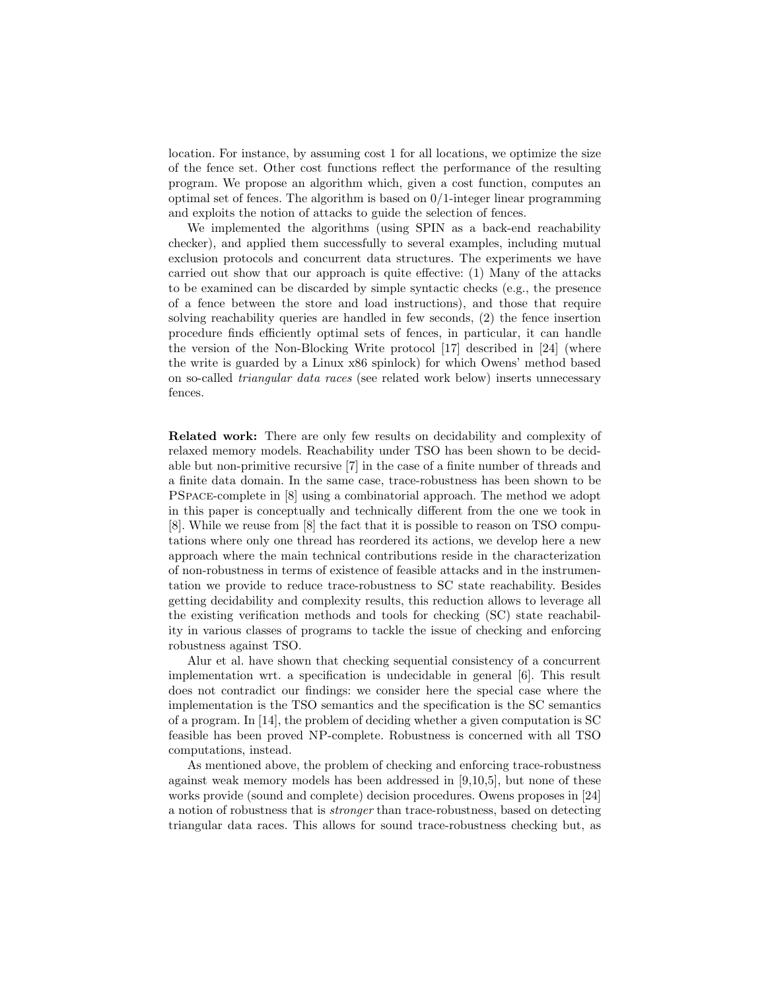location. For instance, by assuming cost 1 for all locations, we optimize the size of the fence set. Other cost functions reflect the performance of the resulting program. We propose an algorithm which, given a cost function, computes an optimal set of fences. The algorithm is based on 0/1-integer linear programming and exploits the notion of attacks to guide the selection of fences.

We implemented the algorithms (using SPIN as a back-end reachability checker), and applied them successfully to several examples, including mutual exclusion protocols and concurrent data structures. The experiments we have carried out show that our approach is quite effective: (1) Many of the attacks to be examined can be discarded by simple syntactic checks (e.g., the presence of a fence between the store and load instructions), and those that require solving reachability queries are handled in few seconds, (2) the fence insertion procedure finds efficiently optimal sets of fences, in particular, it can handle the version of the Non-Blocking Write protocol [\[17\]](#page-19-7) described in [\[24\]](#page-20-5) (where the write is guarded by a Linux x86 spinlock) for which Owens' method based on so-called triangular data races (see related work below) inserts unnecessary fences.

Related work: There are only few results on decidability and complexity of relaxed memory models. Reachability under TSO has been shown to be decidable but non-primitive recursive [\[7\]](#page-19-8) in the case of a finite number of threads and a finite data domain. In the same case, trace-robustness has been shown to be PSpace-complete in [\[8\]](#page-19-5) using a combinatorial approach. The method we adopt in this paper is conceptually and technically different from the one we took in [\[8\]](#page-19-5). While we reuse from [\[8\]](#page-19-5) the fact that it is possible to reason on TSO computations where only one thread has reordered its actions, we develop here a new approach where the main technical contributions reside in the characterization of non-robustness in terms of existence of feasible attacks and in the instrumentation we provide to reduce trace-robustness to SC state reachability. Besides getting decidability and complexity results, this reduction allows to leverage all the existing verification methods and tools for checking (SC) state reachability in various classes of programs to tackle the issue of checking and enforcing robustness against TSO.

Alur et al. have shown that checking sequential consistency of a concurrent implementation wrt. a specification is undecidable in general [\[6\]](#page-19-9). This result does not contradict our findings: we consider here the special case where the implementation is the TSO semantics and the specification is the SC semantics of a program. In [\[14\]](#page-19-10), the problem of deciding whether a given computation is SC feasible has been proved NP-complete. Robustness is concerned with all TSO computations, instead.

As mentioned above, the problem of checking and enforcing trace-robustness against weak memory models has been addressed in [\[9,](#page-19-1)[10,](#page-19-2)[5\]](#page-19-4), but none of these works provide (sound and complete) decision procedures. Owens proposes in [\[24\]](#page-20-5) a notion of robustness that is stronger than trace-robustness, based on detecting triangular data races. This allows for sound trace-robustness checking but, as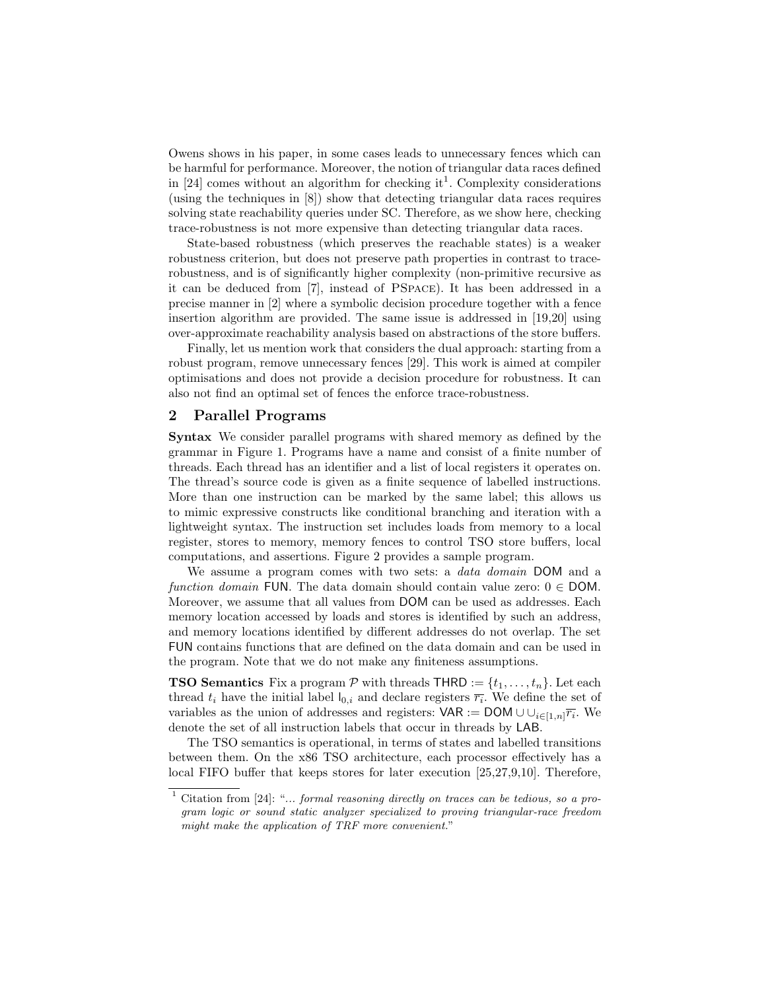Owens shows in his paper, in some cases leads to unnecessary fences which can be harmful for performance. Moreover, the notion of triangular data races defined in [\[24\]](#page-20-5) comes without an algorithm for checking it<sup>[1](#page-4-0)</sup>. Complexity considerations (using the techniques in [\[8\]](#page-19-5)) show that detecting triangular data races requires solving state reachability queries under SC. Therefore, as we show here, checking trace-robustness is not more expensive than detecting triangular data races.

State-based robustness (which preserves the reachable states) is a weaker robustness criterion, but does not preserve path properties in contrast to tracerobustness, and is of significantly higher complexity (non-primitive recursive as it can be deduced from [\[7\]](#page-19-8), instead of PSpace). It has been addressed in a precise manner in [\[2\]](#page-19-11) where a symbolic decision procedure together with a fence insertion algorithm are provided. The same issue is addressed in [\[19,](#page-19-12)[20\]](#page-20-6) using over-approximate reachability analysis based on abstractions of the store buffers.

Finally, let us mention work that considers the dual approach: starting from a robust program, remove unnecessary fences [\[29\]](#page-20-7). This work is aimed at compiler optimisations and does not provide a decision procedure for robustness. It can also not find an optimal set of fences the enforce trace-robustness.

# <span id="page-4-1"></span>2 Parallel Programs

Syntax We consider parallel programs with shared memory as defined by the grammar in Figure [1.](#page-5-0) Programs have a name and consist of a finite number of threads. Each thread has an identifier and a list of local registers it operates on. The thread's source code is given as a finite sequence of labelled instructions. More than one instruction can be marked by the same label; this allows us to mimic expressive constructs like conditional branching and iteration with a lightweight syntax. The instruction set includes loads from memory to a local register, stores to memory, memory fences to control TSO store buffers, local computations, and assertions. Figure [2](#page-5-0) provides a sample program.

We assume a program comes with two sets: a *data domain* DOM and a function domain FUN. The data domain should contain value zero:  $0 \in$  DOM. Moreover, we assume that all values from DOM can be used as addresses. Each memory location accessed by loads and stores is identified by such an address, and memory locations identified by different addresses do not overlap. The set FUN contains functions that are defined on the data domain and can be used in the program. Note that we do not make any finiteness assumptions.

**TSO Semantics** Fix a program  $P$  with threads **THRD** :=  $\{t_1, \ldots, t_n\}$ . Let each thread  $t_i$  have the initial label  $I_{0,i}$  and declare registers  $\overline{r_i}$ . We define the set of variables as the union of addresses and registers:  $VAR := DOM \cup \bigcup_{i \in [1,n]} \overline{r_i}$ . We denote the set of all instruction labels that occur in threads by LAB.

The TSO semantics is operational, in terms of states and labelled transitions between them. On the x86 TSO architecture, each processor effectively has a local FIFO buffer that keeps stores for later execution [\[25,](#page-20-8)[27,](#page-20-1)[9,](#page-19-1)[10\]](#page-19-2). Therefore,

<span id="page-4-0"></span> $1$  Citation from [\[24\]](#page-20-5): "... formal reasoning directly on traces can be tedious, so a program logic or sound static analyzer specialized to proving triangular-race freedom might make the application of TRF more convenient."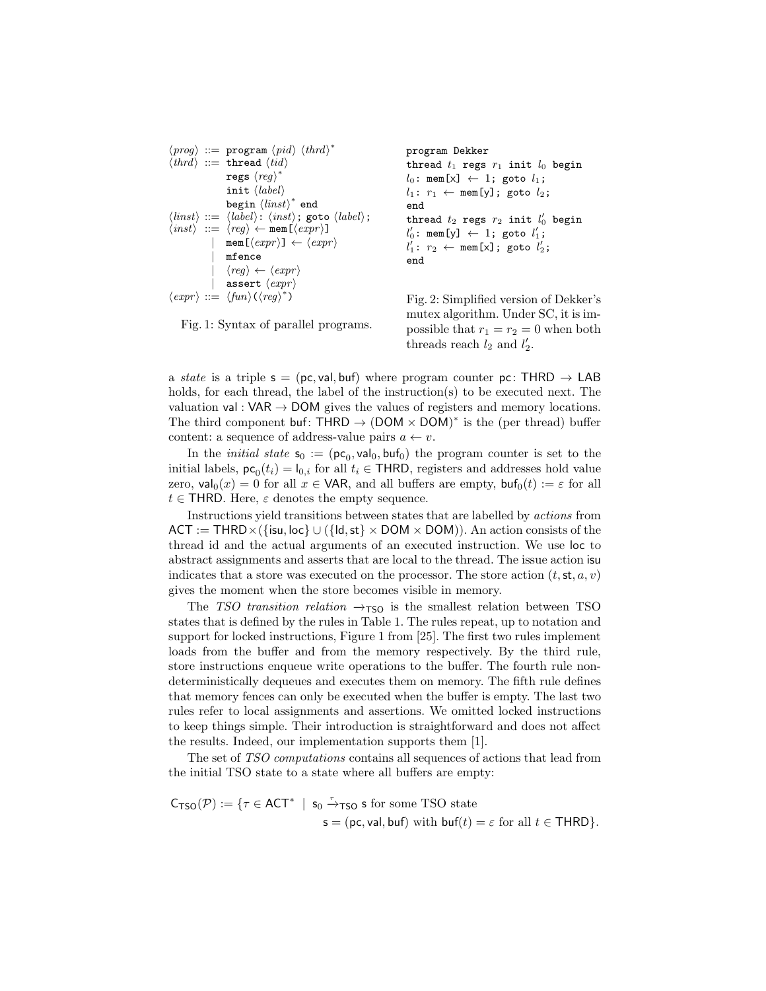```
\langle prog \rangle ::= \text{program } \langle pid \rangle \langle third \rangle^*\langle thrd \rangle ::= thread \langle tid \rangleregs \langle\mathit{reg}\rangle^*init ⟨label⟩
                         \texttt{begin}\langle\mathit{limits}\rangle^* end
\langle \textit{links} \rangle ::= \langle \textit{label} \rangle : \langle \textit{inst} \rangle; goto \langle \textit{label} \rangle;
\langle inst \rangle ::= \langle reg \rangle \leftarrow \texttt{mem}[\langle expr \rangle]\texttt{mem}[\langle expr \rangle] \leftarrow \langle expr \rangle| mfence
                        \langle \textit{reg} \rangle \leftarrow \langle \textit{expr} \rangleassert \langle expr \rangle\langle expr \rangle ::= \langle fun \rangle (\langle reg \rangle^*)program Dekker
                                                                                                     thread t_1 regs r_1 init l_0 begin
                                                                                                     l_0: mem[x] \leftarrow 1; goto l_1;
                                                                                                     l_1: r_1 \leftarrow \text{mem}[y]; goto l_2;
                                                                                                     end
                                                                                                      thread t_2 regs r_2 init l_0^\prime begin
                                                                                                      l'_0 \colon \mathop{\mathtt{mem}}\nolimits[\mathsf{y}] \ \leftarrow \ 1 \colon \mathop{\mathtt{goto}}\nolimits \ l'_1 \colonl'_1: r_2 \leftarrow \texttt{mem}[x]; goto l'_2;
                                                                                                     end
                                                                                                     Fig. 2: Simplified version of Dekker's
```
Fig. 1: Syntax of parallel programs.

mutex algorithm. Under SC, it is impossible that  $r_1 = r_2 = 0$  when both threads reach  $l_2$  and  $l'_2$ .

a state is a triple  $s = (pc, val, buf)$  where program counter pc: THRD  $\rightarrow$  LAB holds, for each thread, the label of the instruction(s) to be executed next. The valuation val :  $VAR \rightarrow DOM$  gives the values of registers and memory locations. The third component buf: THRD  $\rightarrow$  (DOM  $\times$  DOM)<sup>\*</sup> is the (per thread) buffer content: a sequence of address-value pairs  $a \leftarrow v$ .

In the *initial state*  $s_0 := (pc_0, val_0, bul_0)$  the program counter is set to the initial labels,  $\mathsf{pc}_0(t_i) = \mathsf{I}_{0,i}$  for all  $t_i \in \mathsf{THRD}$ , registers and addresses hold value zero,  $\mathsf{val}_0(x) = 0$  for all  $x \in \mathsf{VAR}$ , and all buffers are empty,  $\mathsf{buf}_0(t) := \varepsilon$  for all  $t \in$  THRD. Here,  $\varepsilon$  denotes the empty sequence.

Instructions yield transitions between states that are labelled by actions from  $ACT := THRD \times (\{isu, loc\} \cup (\{ld, st\} \times DOM \times DOM)).$  An action consists of the thread id and the actual arguments of an executed instruction. We use loc to abstract assignments and asserts that are local to the thread. The issue action isu indicates that a store was executed on the processor. The store action  $(t, st, a, v)$ gives the moment when the store becomes visible in memory.

The TSO transition relation  $\rightarrow$ TSO is the smallest relation between TSO states that is defined by the rules in Table [1.](#page-6-0) The rules repeat, up to notation and support for locked instructions, Figure 1 from [\[25\]](#page-20-8). The first two rules implement loads from the buffer and from the memory respectively. By the third rule, store instructions enqueue write operations to the buffer. The fourth rule nondeterministically dequeues and executes them on memory. The fifth rule defines that memory fences can only be executed when the buffer is empty. The last two rules refer to local assignments and assertions. We omitted locked instructions to keep things simple. Their introduction is straightforward and does not affect the results. Indeed, our implementation supports them [\[1\]](#page-19-13).

The set of TSO computations contains all sequences of actions that lead from the initial TSO state to a state where all buffers are empty:

 $C_{\text{TSO}}(\mathcal{P}) := \{ \tau \in \text{ACT}^* \mid s_0 \stackrel{\tau}{\rightarrow} \text{TSO} \text{ s for some TSO state} \}$  $s = (pc, val, but)$  with  $buf(t) = \varepsilon$  for all  $t \in \text{THRD}$ .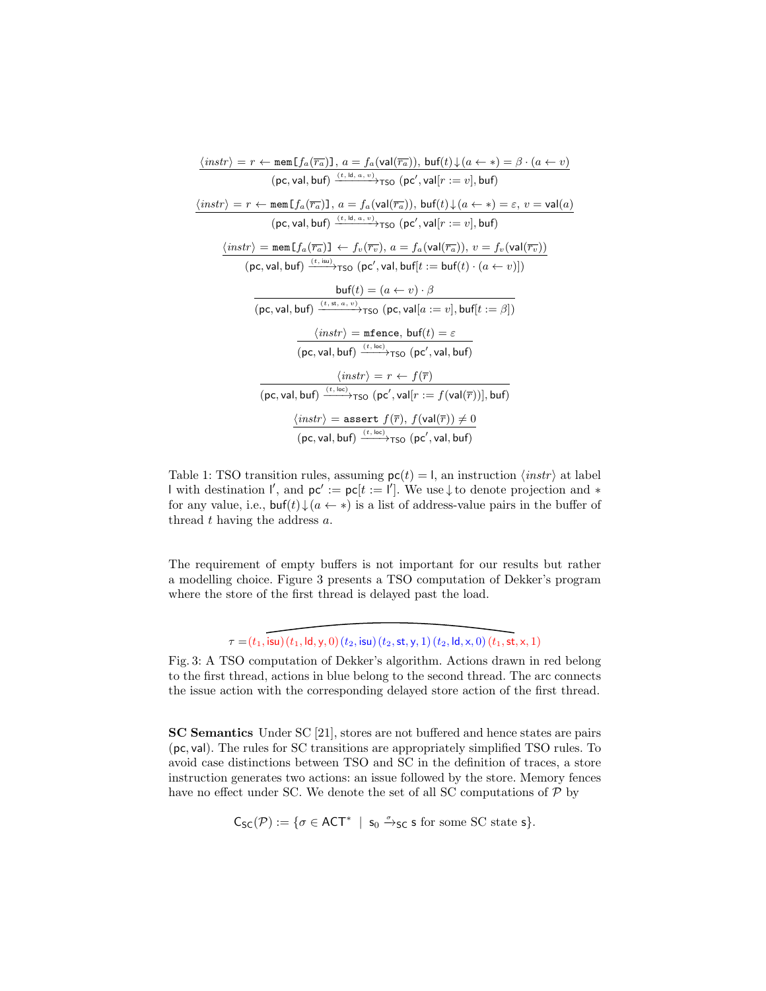<span id="page-6-0"></span>

| $\langle instr \rangle = r \leftarrow \texttt{mem}[f_a(\overline{r_a})], a = f_a(\text{val}(\overline{r_a})), \text{buf}(t) \downarrow (a \leftarrow *) = \beta \cdot (a \leftarrow v)$  |
|------------------------------------------------------------------------------------------------------------------------------------------------------------------------------------------|
| $(pc, val, buf) \xrightarrow{(t, ld, a, v)} \text{TSO} (pc', val[r := v], buf)$                                                                                                          |
| $\langle instr \rangle = r \leftarrow \text{mem} [f_a(\overline{r_a})], a = f_a(\text{val}(\overline{r_a})), \text{buf}(t) \downarrow (a \leftarrow *) = \varepsilon, v = \text{val}(a)$ |
| $(\textsf{pc}, \textsf{val}, \textsf{buf}) \xrightarrow{(t, \textsf{ld}, a, v)} \textsf{TSO} (\textsf{pc}', \textsf{val}[r := v], \textsf{buf})$                                         |
| $\langle instr \rangle = \text{mem} [f_a(\overline{r_a})] \leftarrow f_v(\overline{r_v}), a = f_a(\text{val}(\overline{r_a})), v = f_v(\text{val}(\overline{r_v}))$                      |
| $(\textsf{pc}, \textsf{val}, \textsf{buf}) \xrightarrow{(t, \textsf{isu})} \textsf{TSO} (\textsf{pc}', \textsf{val}, \textsf{buf}[t := \textsf{buf}(t) \cdot (a \leftarrow v)])$         |
| $\mathsf{buf}(t) = (a \leftarrow v) \cdot \beta$                                                                                                                                         |
| $(\textsf{pc}, \textsf{val}, \textsf{buf}) \xrightarrow{(t, st, a, v)} \textsf{TSO} (\textsf{pc}, \textsf{val}[a := v], \textsf{buf}[t := \beta])$                                       |
| $\langle instr \rangle$ = mfence, buf(t) = $\varepsilon$                                                                                                                                 |
| $(pc, val, buf) \xrightarrow{(t, loc)}$ <sub>TSO</sub> $(pc', val, buf)$                                                                                                                 |
| $\langle instr \rangle = r \leftarrow f(\overline{r})$                                                                                                                                   |
| $(pc, val, buf) \xrightarrow{(t, loc)}$ $\tau$ so $(pc', val[r := f(val(\overline{r}))], buf)$                                                                                           |
| $\langle instr \rangle$ = assert $f(\overline{r}), f(\mathsf{val}(\overline{r})) \neq 0$                                                                                                 |
| $(pc, val, buf) \xrightarrow{(t, loc)}$ Tso $(pc', val, buf)$                                                                                                                            |

Table 1: TSO transition rules, assuming  $pc(t) = I$ , an instruction  $\langle instr \rangle$  at label with destination  $\mathsf{l}'$ , and  $\mathsf{pc}' := \mathsf{pc}[t := \mathsf{l}']$ . We use  $\downarrow$  to denote projection and  $*$ for any value, i.e.,  $\mathsf{buf}(t)\downarrow(a\leftarrow *)$  is a list of address-value pairs in the buffer of thread  $t$  having the address  $a$ .

The requirement of empty buffers is not important for our results but rather a modelling choice. Figure [3](#page-6-1) presents a TSO computation of Dekker's program where the store of the first thread is delayed past the load.

 $\tau = (t_1, \text{isu})(t_1, \text{Id}, y, 0)(t_2, \text{isu})(t_2, \text{st}, y, 1)(t_2, \text{Id}, x, 0)(t_1, \text{st}, x, 1)$ 

<span id="page-6-1"></span>Fig. 3: A TSO computation of Dekker's algorithm. Actions drawn in red belong to the first thread, actions in blue belong to the second thread. The arc connects the issue action with the corresponding delayed store action of the first thread.

SC Semantics Under SC [\[21\]](#page-20-0), stores are not buffered and hence states are pairs (pc, val). The rules for SC transitions are appropriately simplified TSO rules. To avoid case distinctions between TSO and SC in the definition of traces, a store instruction generates two actions: an issue followed by the store. Memory fences have no effect under SC. We denote the set of all SC computations of  $\mathcal{P}$  by

<span id="page-6-2"></span> $C_{SC}(\mathcal{P}) := \{ \sigma \in ACT^* \mid s_0 \xrightarrow{\sigma}_{SC} s \text{ for some SC state } s \}.$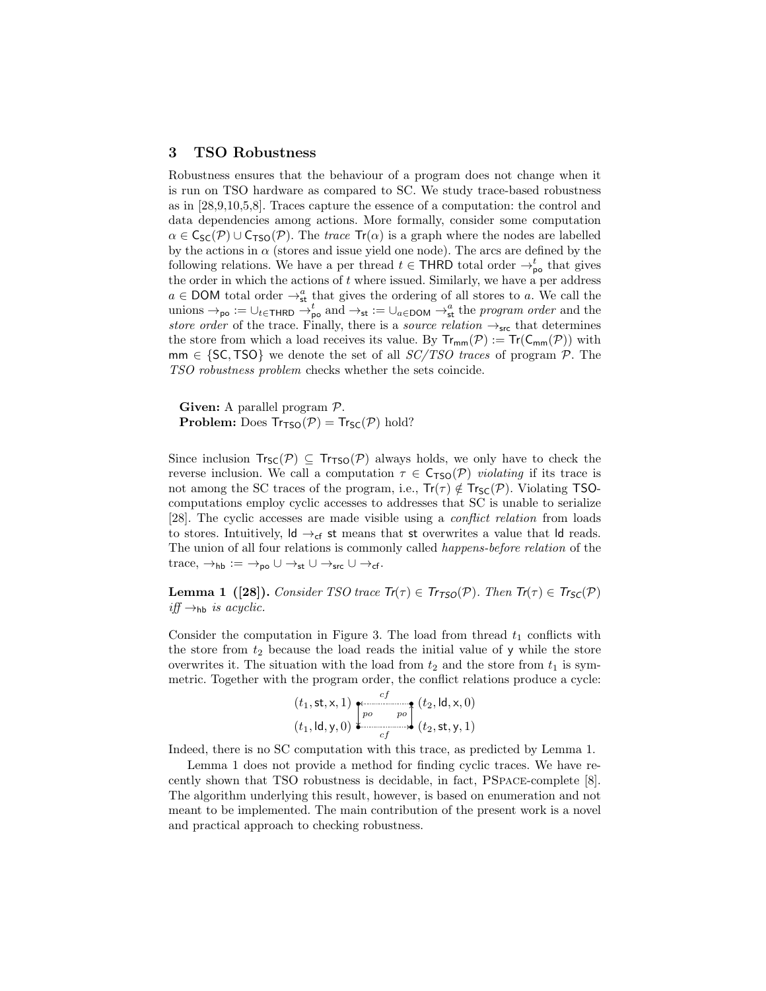### 3 TSO Robustness

Robustness ensures that the behaviour of a program does not change when it is run on TSO hardware as compared to SC. We study trace-based robustness as in [\[28,](#page-20-2)[9,](#page-19-1)[10,](#page-19-2)[5](#page-19-4)[,8\]](#page-19-5). Traces capture the essence of a computation: the control and data dependencies among actions. More formally, consider some computation  $\alpha \in C_{\text{SC}}(\mathcal{P}) \cup C_{\text{TSO}}(\mathcal{P})$ . The *trace*  $\text{Tr}(\alpha)$  is a graph where the nodes are labelled by the actions in  $\alpha$  (stores and issue yield one node). The arcs are defined by the following relations. We have a per thread  $t \in \mathsf{THRD}$  total order  $\rightarrow_{\mathsf{po}}^t$  that gives the order in which the actions of  $t$  where issued. Similarly, we have a per address  $a \in$  DOM total order  $\rightarrow_{st}^{a}$  that gives the ordering of all stores to a. We call the unions  $\rightarrow_{\text{po}} := \cup_{t \in \text{THRD}} \rightarrow_{\text{po}}^t \text{ and } \rightarrow_{\text{st}} := \cup_{a \in \text{DOM}} \rightarrow_{\text{st}}^a$  the program order and the store order of the trace. Finally, there is a source relation  $\rightarrow_{\text{src}}$  that determines the store from which a load receives its value. By  $Tr_{mm}(P) := Tr(C_{mm}(P))$  with  $mm \in \{SC, TSO\}$  we denote the set of all  $SC/TSO$  traces of program  $P$ . The TSO robustness problem checks whether the sets coincide.

Given: A parallel program  $P$ . **Problem:** Does  $Tr_{\text{TSO}}(\mathcal{P}) = Tr_{\text{SC}}(\mathcal{P})$  hold?

Since inclusion  $Tr_{\text{SC}}(\mathcal{P}) \subseteq Tr_{\text{TSO}}(\mathcal{P})$  always holds, we only have to check the reverse inclusion. We call a computation  $\tau \in C_{\text{TSO}}(\mathcal{P})$  violating if its trace is not among the SC traces of the program, i.e.,  $Tr(\tau) \notin Tr_{SC}(\mathcal{P})$ . Violating TSOcomputations employ cyclic accesses to addresses that SC is unable to serialize [\[28\]](#page-20-2). The cyclic accesses are made visible using a conflict relation from loads to stores. Intuitively,  $\mathsf{Id} \rightarrow_{\mathsf{cf}}$  st means that st overwrites a value that  $\mathsf{Id}$  reads. The union of all four relations is commonly called happens-before relation of the trace,  $\rightarrow_{\text{hb}} := \rightarrow_{\text{po}} \cup \rightarrow_{\text{st}} \cup \rightarrow_{\text{src}} \cup \rightarrow_{\text{cf}}$ .

**Lemma 1** ([\[28\]](#page-20-2)). Consider TSO trace  $Tr(\tau) \in Tr_{TSO}(\mathcal{P})$ . Then  $Tr(\tau) \in Tr_{SC}(\mathcal{P})$  $iff \rightarrow_{\text{hb}}$  is acyclic.

Consider the computation in Figure [3.](#page-6-1) The load from thread  $t_1$  conflicts with the store from  $t_2$  because the load reads the initial value of y while the store overwrites it. The situation with the load from  $t_2$  and the store from  $t_1$  is symmetric. Together with the program order, the conflict relations produce a cycle:

<span id="page-7-0"></span>
$$
(t_1, \text{st}, \text{x}, 1) \underbrace{\left\{\begin{matrix} cf \ t_2, \text{Id}, \text{x}, 0 \end{matrix}\right\}}_{cf} (t_2, \text{td}, \text{x}, 0)
$$

$$
(t_1, \text{Id}, \text{y}, 0) \underbrace{\left\{\begin{matrix} cf \ t_2, \text{st}, \text{y}, 1 \end{matrix}\right\}}_{cf}
$$

Indeed, there is no SC computation with this trace, as predicted by Lemma [1.](#page-7-0)

Lemma [1](#page-7-0) does not provide a method for finding cyclic traces. We have recently shown that TSO robustness is decidable, in fact, PSpace-complete [\[8\]](#page-19-5). The algorithm underlying this result, however, is based on enumeration and not meant to be implemented. The main contribution of the present work is a novel and practical approach to checking robustness.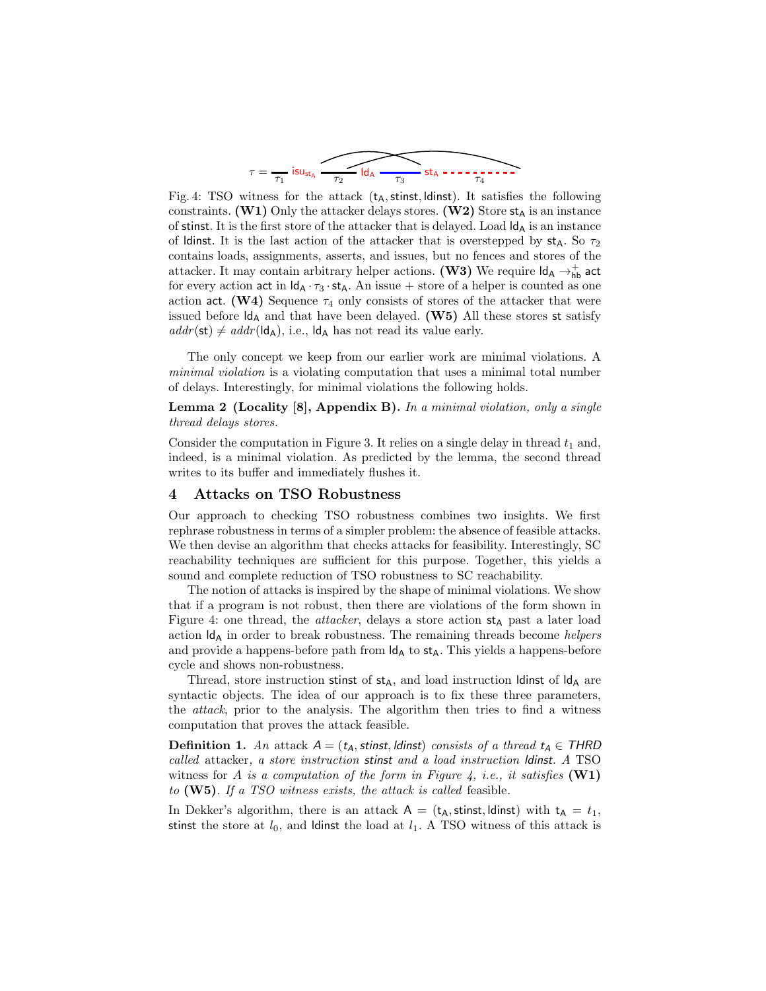<span id="page-8-1"></span>
$$
\tau = \frac{1}{\tau_1} \text{ is } u_{\text{st}_A} \xrightarrow{\tau_2} \text{Id}_A \xrightarrow{\tau_3} \text{st}_A \xrightarrow{\tau_4} \text{...}
$$

<span id="page-8-0"></span>Fig. 4: TSO witness for the attack  $(t_A,$  stinst, ldinst). It satisfies the following constraints. (W1) Only the attacker delays stores. (W2) Store  $st_A$  is an instance of stinst. It is the first store of the attacker that is delayed. Load  $\mathsf{Id}_A$  is an instance of ldinst. It is the last action of the attacker that is overstepped by  $st_A$ . So  $\tau_2$ contains loads, assignments, asserts, and issues, but no fences and stores of the attacker. It may contain arbitrary helper actions. (W3) We require  $\mathsf{Id}_\mathsf{A} \to_\mathsf{hb}^+$  act for every action act in  $\mathsf{Id}_A \cdot \tau_3 \cdot \mathsf{st}_A$ . An issue + store of a helper is counted as one action act. (W4) Sequence  $\tau_4$  only consists of stores of the attacker that were issued before  $\mathsf{Id}_A$  and that have been delayed. (W5) All these stores st satisfy  $addr(st) \neq addr(\mathsf{Id}_A),$  i.e.,  $\mathsf{Id}_A$  has not read its value early.

The only concept we keep from our earlier work are minimal violations. A minimal violation is a violating computation that uses a minimal total number of delays. Interestingly, for minimal violations the following holds.

Lemma 2 (Locality [\[8\]](#page-19-5), Appendix [B\)](#page-21-0). In a minimal violation, only a single thread delays stores.

Consider the computation in Figure [3.](#page-6-1) It relies on a single delay in thread  $t_1$  and, indeed, is a minimal violation. As predicted by the lemma, the second thread writes to its buffer and immediately flushes it.

# 4 Attacks on TSO Robustness

Our approach to checking TSO robustness combines two insights. We first rephrase robustness in terms of a simpler problem: the absence of feasible attacks. We then devise an algorithm that checks attacks for feasibility. Interestingly, SC reachability techniques are sufficient for this purpose. Together, this yields a sound and complete reduction of TSO robustness to SC reachability.

The notion of attacks is inspired by the shape of minimal violations. We show that if a program is not robust, then there are violations of the form shown in Figure [4:](#page-8-0) one thread, the *attacker*, delays a store action  $st_A$  past a later load action  $\mathsf{Id}_A$  in order to break robustness. The remaining threads become *helpers* and provide a happens-before path from  $\mathsf{Id}_A$  to  $\mathsf{st}_A$ . This yields a happens-before cycle and shows non-robustness.

Thread, store instruction stinst of  $st_A$ , and load instruction ldinst of  $ld_A$  are syntactic objects. The idea of our approach is to fix these three parameters, the attack, prior to the analysis. The algorithm then tries to find a witness computation that proves the attack feasible.

**Definition 1.** An attack  $A = (t_A, \text{stinst}, \text{ldinst})$  consists of a thread  $t_A \in \text{THRD}$ called attacker, a store instruction stinst and a load instruction ldinst. A TSO witness for A is a computation of the form in Figure [4,](#page-8-0) i.e., it satisfies  $(\mathbf{W1})$ to (W5). If a TSO witness exists, the attack is called feasible.

In Dekker's algorithm, there is an attack  $A = (t_A,$  stinst, ldinst) with  $t_A = t_1$ , stinst the store at  $l_0$ , and ldinst the load at  $l_1$ . A TSO witness of this attack is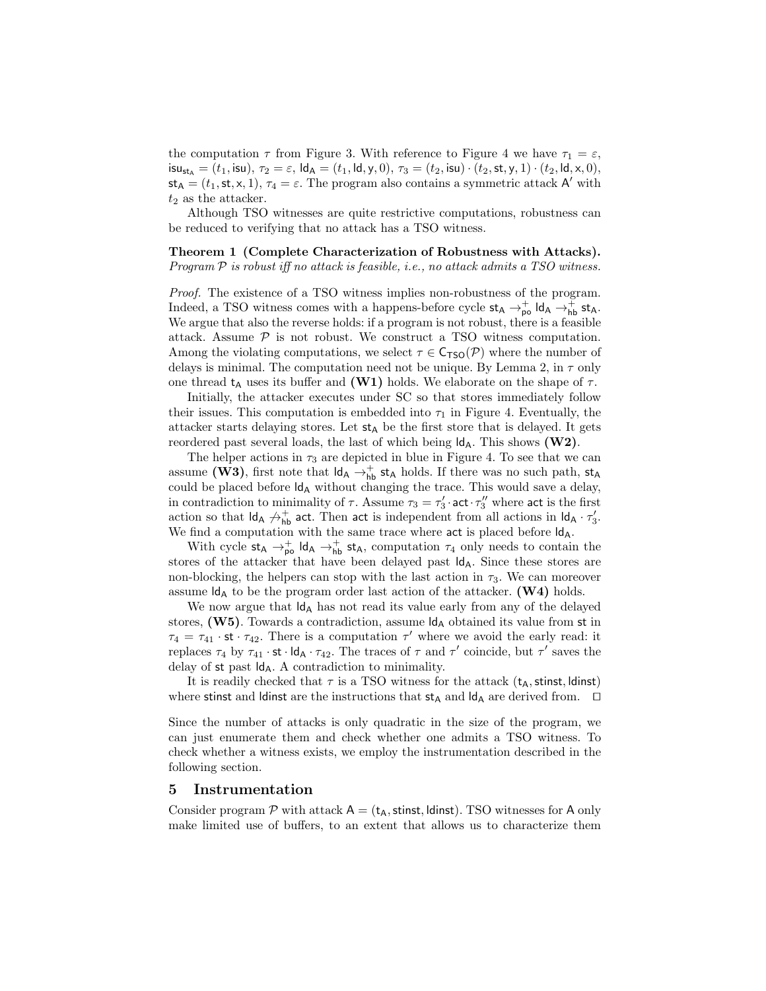the computation  $\tau$  from Figure [3.](#page-6-1) With reference to Figure [4](#page-8-0) we have  $\tau_1 = \varepsilon$ ,  $\mathsf{isu}_{\mathsf{st}_\mathsf{A}} = (t_1, \mathsf{isu}), \tau_2 = \varepsilon, \mathsf{Id}_\mathsf{A} = (t_1, \mathsf{Id}, \mathsf{y}, 0), \tau_3 = (t_2, \mathsf{isu}) \cdot (t_2, \mathsf{st}, \mathsf{y}, 1) \cdot (t_2, \mathsf{Id}, \mathsf{x}, 0),$  $st_{\mathsf{A}} = (t_1, st, x, 1), \tau_4 = \varepsilon$ . The program also contains a symmetric attack A' with  $t_2$  as the attacker.

<span id="page-9-0"></span>Although TSO witnesses are quite restrictive computations, robustness can be reduced to verifying that no attack has a TSO witness.

### Theorem 1 (Complete Characterization of Robustness with Attacks).

Program  $P$  is robust iff no attack is feasible, i.e., no attack admits a TSO witness.

Proof. The existence of a TSO witness implies non-robustness of the program. Indeed, a TSO witness comes with a happens-before cycle  $st_A \rightarrow_{\text{po}}^+ Id_A \rightarrow_{\text{hb}}^+ st_A$ . We argue that also the reverse holds: if a program is not robust, there is a feasible attack. Assume  $P$  is not robust. We construct a TSO witness computation. Among the violating computations, we select  $\tau \in \mathsf{C}_{\mathsf{TSO}}(\mathcal{P})$  where the number of delays is minimal. The computation need not be unique. By Lemma [2,](#page-8-1) in  $\tau$  only one thread t<sub>A</sub> uses its buffer and (W1) holds. We elaborate on the shape of  $\tau$ .

Initially, the attacker executes under SC so that stores immediately follow their issues. This computation is embedded into  $\tau_1$  in Figure [4.](#page-8-0) Eventually, the attacker starts delaying stores. Let  $st_A$  be the first store that is delayed. It gets reordered past several loads, the last of which being  $\mathsf{Id}_A$ . This shows  $(\mathbf{W2})$ .

The helper actions in  $\tau_3$  are depicted in blue in Figure [4.](#page-8-0) To see that we can assume (W3), first note that  $\mathsf{Id}_A \to_{\mathsf{hb}}^+$  st<sub>A</sub> holds. If there was no such path, st<sub>A</sub> could be placed before  $\mathsf{Id}_A$  without changing the trace. This would save a delay, in contradiction to minimality of  $\tau$ . Assume  $\tau_3 = \tau'_3$  act  $\tau''_3$  where act is the first action so that  $\mathsf{Id}_A \not\rightarrow^+_{\mathsf{hb}}$  act. Then act is independent from all actions in  $\mathsf{Id}_A \cdot \tau'_3$ . We find a computation with the same trace where  $act$  is placed before  $\mathsf{Id}_A$ .

With cycle  $st_A \rightarrow_{\text{po}}^+ Id_A \rightarrow_{\text{hb}}^+ st_A$ , computation  $\tau_4$  only needs to contain the stores of the attacker that have been delayed past  $\mathsf{Id}_A$ . Since these stores are non-blocking, the helpers can stop with the last action in  $\tau_3$ . We can moreover assume  $\mathsf{Id}_A$  to be the program order last action of the attacker. (W4) holds.

We now argue that  $\mathsf{Id}_A$  has not read its value early from any of the delayed stores,  $(W5)$ . Towards a contradiction, assume  $\mathsf{Id}_A$  obtained its value from st in  $\tau_4 = \tau_{41} \cdot \text{st} \cdot \tau_{42}$ . There is a computation  $\tau'$  where we avoid the early read: it replaces  $\tau_4$  by  $\tau_{41} \cdot st \cdot \mathsf{Id}_A \cdot \tau_{42}$ . The traces of  $\tau$  and  $\tau'$  coincide, but  $\tau'$  saves the delay of st past  $\mathsf{Id}_A$ . A contradiction to minimality.

It is readily checked that  $\tau$  is a TSO witness for the attack ( $t_A$ , stinst, ldinst) where stinst and ldinst are the instructions that st<sub>A</sub> and ld<sub>A</sub> are derived from. □

Since the number of attacks is only quadratic in the size of the program, we can just enumerate them and check whether one admits a TSO witness. To check whether a witness exists, we employ the instrumentation described in the following section.

#### <span id="page-9-1"></span>5 Instrumentation

Consider program  $P$  with attack  $A = (t_A, \text{stinst}, \text{ldinst})$ . TSO witnesses for A only make limited use of buffers, to an extent that allows us to characterize them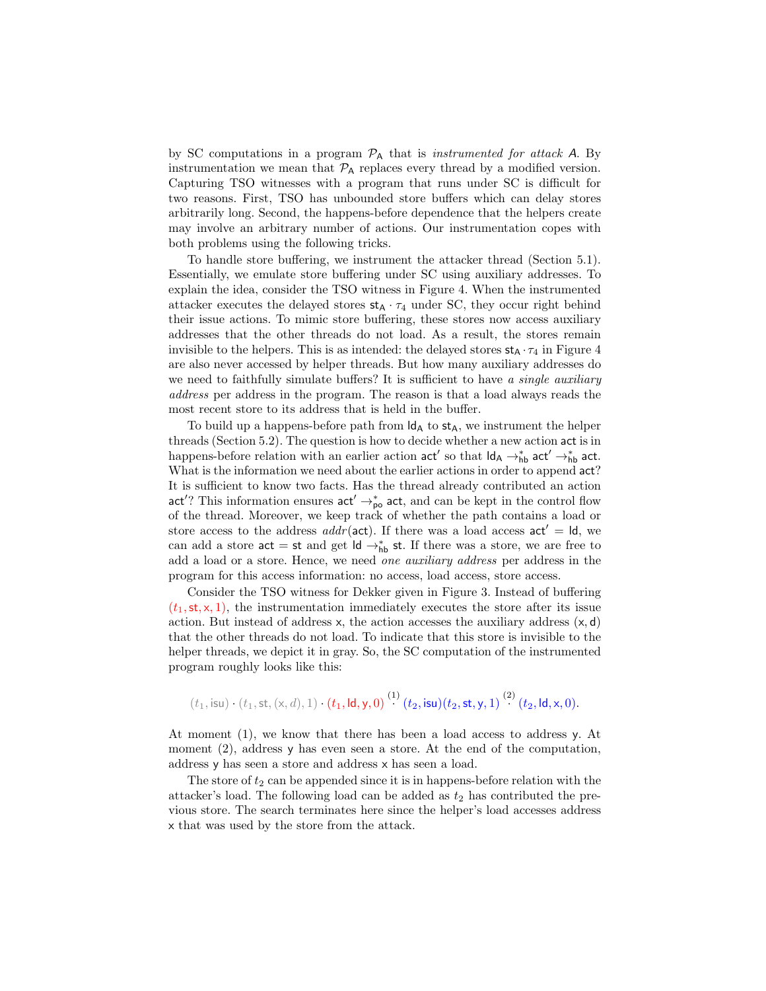by SC computations in a program  $\mathcal{P}_A$  that is *instrumented for attack* A. By instrumentation we mean that  $P_A$  replaces every thread by a modified version. Capturing TSO witnesses with a program that runs under SC is difficult for two reasons. First, TSO has unbounded store buffers which can delay stores arbitrarily long. Second, the happens-before dependence that the helpers create may involve an arbitrary number of actions. Our instrumentation copes with both problems using the following tricks.

To handle store buffering, we instrument the attacker thread (Section [5.1\)](#page-10-0). Essentially, we emulate store buffering under SC using auxiliary addresses. To explain the idea, consider the TSO witness in Figure [4.](#page-8-0) When the instrumented attacker executes the delayed stores  $st_A \cdot \tau_4$  under SC, they occur right behind their issue actions. To mimic store buffering, these stores now access auxiliary addresses that the other threads do not load. As a result, the stores remain invisible to the helpers. This is as intended: the delayed stores  $st_A \cdot \tau_4$  in Figure [4](#page-8-0) are also never accessed by helper threads. But how many auxiliary addresses do we need to faithfully simulate buffers? It is sufficient to have a single auxiliary address per address in the program. The reason is that a load always reads the most recent store to its address that is held in the buffer.

To build up a happens-before path from  $\mathsf{Id}_A$  to  $\mathsf{st}_A$ , we instrument the helper threads (Section [5.2\)](#page-12-0). The question is how to decide whether a new action act is in happens-before relation with an earlier action  $act'$  so that  $\mathsf{Id}_A \to_{\mathsf{hb}}^* act' \to_{\mathsf{hb}}^* act$ . What is the information we need about the earlier actions in order to append act? It is sufficient to know two facts. Has the thread already contributed an action act'? This information ensures  $act' \rightarrow_{po}^*$  act, and can be kept in the control flow of the thread. Moreover, we keep track of whether the path contains a load or store access to the address *addr* (act). If there was a load access  $act' = Id$ , we can add a store  $act = st$  and get  $Id \rightarrow_{hb}^* st$ . If there was a store, we are free to add a load or a store. Hence, we need one auxiliary address per address in the program for this access information: no access, load access, store access.

Consider the TSO witness for Dekker given in Figure [3.](#page-6-1) Instead of buffering  $(t_1, st, x, 1)$ , the instrumentation immediately executes the store after its issue action. But instead of address x, the action accesses the auxiliary address  $(x, d)$ that the other threads do not load. To indicate that this store is invisible to the helper threads, we depict it in gray. So, the SC computation of the instrumented program roughly looks like this:

$$
(t_1, \text{isu}) \cdot (t_1, \text{st}, (\times, d), 1) \cdot (t_1, \text{Id}, \text{y}, 0) \stackrel{(1)}{(1)} (t_2, \text{isu}) (t_2, \text{st}, \text{y}, 1) \stackrel{(2)}{(2)} (t_2, \text{Id}, \text{x}, 0).
$$

At moment (1), we know that there has been a load access to address y. At moment (2), address y has even seen a store. At the end of the computation, address y has seen a store and address x has seen a load.

<span id="page-10-0"></span>The store of  $t_2$  can be appended since it is in happens-before relation with the attacker's load. The following load can be added as  $t_2$  has contributed the previous store. The search terminates here since the helper's load accesses address x that was used by the store from the attack.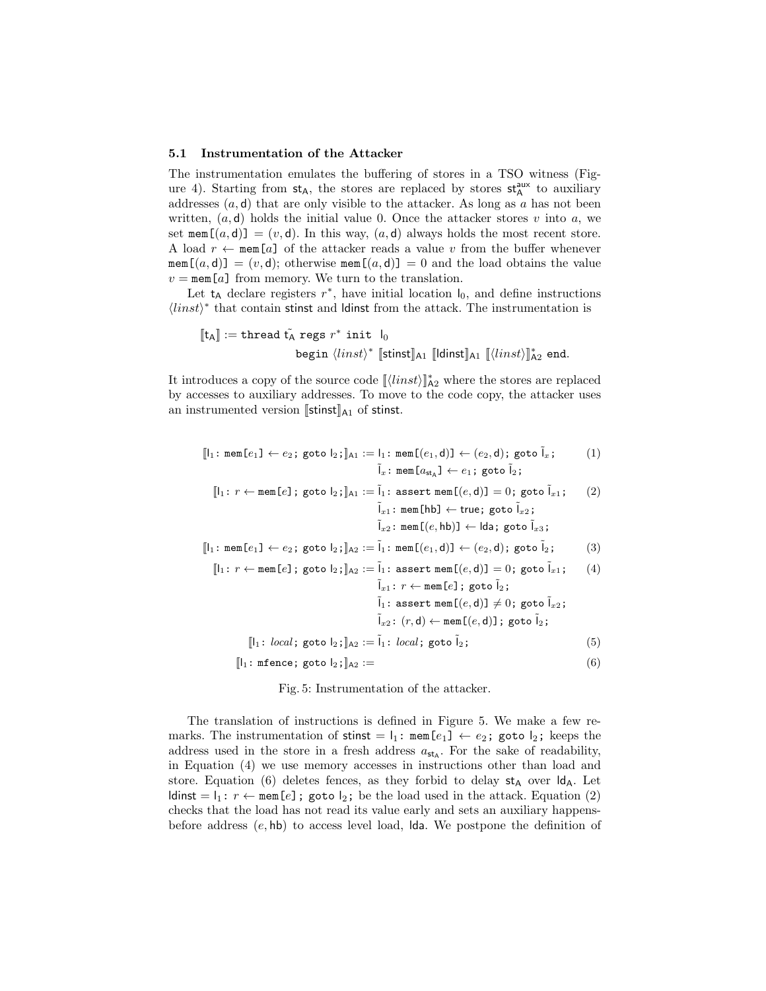#### 5.1 Instrumentation of the Attacker

The instrumentation emulates the buffering of stores in a TSO witness (Fig-ure [4\)](#page-8-0). Starting from  $st_A$ , the stores are replaced by stores  $st_A^{aux}$  to auxiliary addresses  $(a, d)$  that are only visible to the attacker. As long as  $a$  has not been written,  $(a, d)$  holds the initial value 0. Once the attacker stores v into a, we set mem $[(a, d)] = (v, d)$ . In this way,  $(a, d)$  always holds the most recent store. A load  $r \leftarrow \text{mem}[a]$  of the attacker reads a value v from the buffer whenever mem $[(a, d)] = (v, d)$ ; otherwise mem $[(a, d)] = 0$  and the load obtains the value  $v = \text{mem}[a]$  from memory. We turn to the translation.

Let  $t_A$  declare registers  $r^*$ , have initial location  $I_0$ , and define instructions  $\langle$ *linst* $\rangle^*$  that contain stinst and ldinst from the attack. The instrumentation is

$$
\begin{aligned} \llbracket \mathsf{t_A} \rrbracket &:= \texttt{thread}~\tilde{\mathsf{t_A}}~\texttt{regs}~r^*~\texttt{init}~\mathsf{l_0} \\ &~~ \texttt{begin}~ \langle \mathit{links} \rangle^*~\llbracket \mathsf{stinst} \rrbracket_{\mathsf{A1}}~\llbracket \mathsf{dinst} \rrbracket_{\mathsf{A1}}~\llbracket \langle \mathit{inst} \rangle \rrbracket^*_{\mathsf{A2}}~\texttt{end}. \end{aligned}
$$

It introduces a copy of the source code  $[\langle linst \rangle]_{A2}^*$  where the stores are replaced by accesses to auxiliary addresses. To move to the code copy, the attacker uses an instrumented version  $[\text{stinst}]_{A1}$  of stinst.

<span id="page-11-1"></span><span id="page-11-0"></span>
$$
\begin{aligned}\n\llbracket l_1 \colon \text{mem}[e_1] \leftarrow e_2; \text{goto } l_2; \llbracket \text{At} \colon := l_1 \colon \text{mem}[(e_1, d)] \leftarrow (e_2, d); \text{goto } \tilde{l}_x; \\
\llbracket \tilde{l}_x \colon \text{mem}[a_{st_A}] \leftarrow e_1; \text{goto } \tilde{l}_2;\n\end{aligned}
$$

$$
[\![l_1\!:\,r\leftarrow \texttt{mem}[e]\,;\,\texttt{goto}\,l_2\,;\,]\!]_{A1} := \tilde{l}_1\!:\,\texttt{assert}\,\texttt{mem}[(e,d)] = 0;\,\texttt{goto}\,\tilde{l}_x1;\qquad(2)\\ \tilde{l}_x\!:\,\texttt{mem}[\![\text{hb}]\leftarrow \texttt{true};\,\texttt{goto}\,\tilde{l}_x2;\qquad\\ \tilde{l}_x\!:\,\texttt{mem}[(e,\text{hb})]\leftarrow \text{lda};\,\texttt{goto}\,\tilde{l}_x3\,;
$$

$$
[\![\mathsf{l}_1\!:\, \mathtt{mem}\allowbreak[\![e_1]\!] \leftarrow e_2\!:\, \mathtt{goto}\ \allowbreak[\![e_2]\!]_{\mathtt{A}2}:=\tilde{\mathsf{l}}_1\!:\, \mathtt{mem}\allowbreak[\![(e_1,d)]\!] \leftarrow (e_2,d)\::\:\allowbreak \mathtt{goto}\ \tilde{\mathsf{l}}_2\!:\:\:\:\:\:\:\:\:\:\:\:\:\left(\mathsf{3}\right)
$$

$$
[\![l_1: r \leftarrow \text{mem}[e]; \text{goto } l_2; \!]_{A2} := \tilde{l}_1: \text{ assert mem}[(e,d)] = 0; \text{goto } \tilde{l}_{x1}; \quad (4)
$$
\n
$$
\tilde{l}_{x1}: r \leftarrow \text{mem}[e]; \text{goto } \tilde{l}_2; \quad \tilde{l}_1: \text{assert mem}[(e,d)] \neq 0; \text{goto } \tilde{l}_{x2}; \quad \tilde{l}_{x2}: (r,d) \leftarrow \text{mem}[(e,d)]; \text{goto } \tilde{l}_2; \quad [\![l_1: \text{local}; \text{goto } l_2; \!]_{A2} := \tilde{l}_1: \text{local}; \text{goto } \tilde{l}_2; \quad (5)
$$

 $\llbracket l_1: \text{mfence; goto } l_2; \rrbracket$ A2 := (6)

Fig. 5: Instrumentation of the attacker.

The translation of instructions is defined in Figure [5.](#page-11-0) We make a few remarks. The instrumentation of stinst =  $l_1$ : mem[ $e_1$ ]  $\leftarrow e_2$ ; goto  $l_2$ ; keeps the address used in the store in a fresh address  $a_{st}$ . For the sake of readability, in Equation [\(4\)](#page-11-1) we use memory accesses in instructions other than load and store. Equation [\(6\)](#page-11-1) deletes fences, as they forbid to delay  $st_A$  over  $ld_A$ . Let ldinst  $= \mathbb{I}_1: r \leftarrow \text{mem}[e]$ ; goto  $\mathbb{I}_2$ ; be the load used in the attack. Equation [\(2\)](#page-11-1) checks that the load has not read its value early and sets an auxiliary happensbefore address  $(e, h\mathbf{b})$  to access level load, lda. We postpone the definition of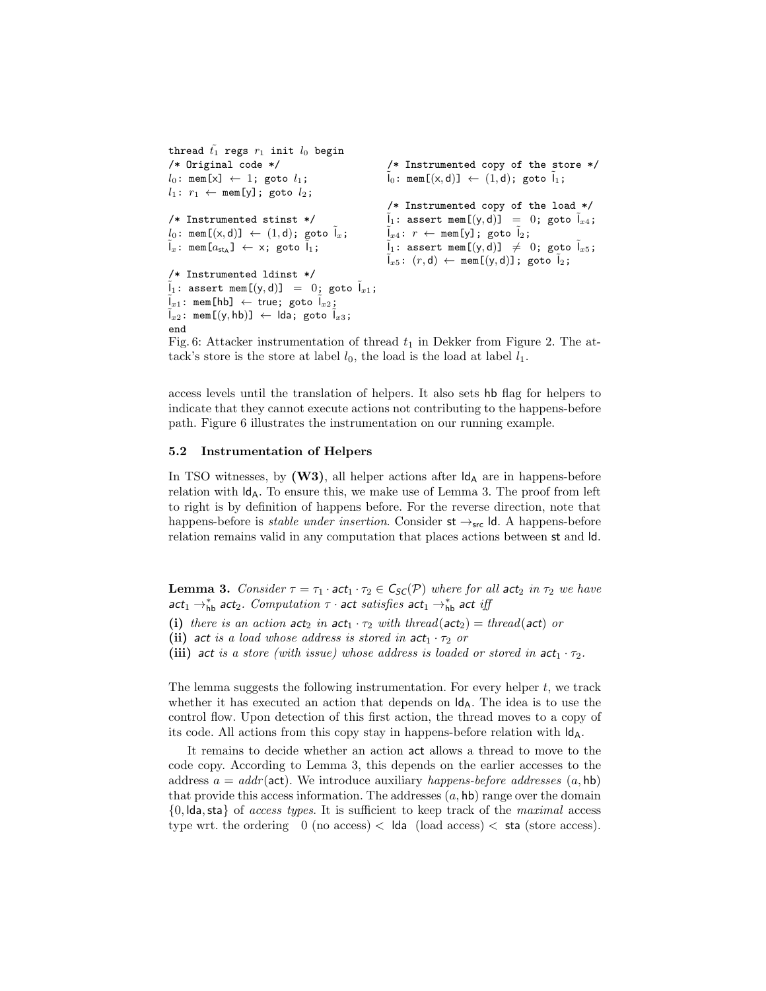```
thread \tilde{t_1} regs r_1 init l_0 begin
/* Original code */
l_0: mem[x] \leftarrow 1; goto l_1;
l_1: r_1 \leftarrow \text{mem}[y]; goto l_2;
/* Instrumented stinst */
l_0: \text{ mem } [(x, d)] \leftarrow (1, d); \text{ goto } \tilde{l}_x;\tilde{I}_x: mem[a_{\text{st}_A}] \leftarrow x; goto \tilde{I}_1;
/* Instrumented ldinst */
\tilde{I}_1: assert mem[(y, d)] = 0; goto \tilde{I}_{x1};
\tilde{\mathfrak{l}}_{x1}: mem[hb] \leftarrow true; goto \tilde{\mathfrak{l}}_{x2};
\tilde{I}_{x2}: mem[(y,hb)] \leftarrow lda; goto \tilde{I}_{x3};
end
                                                                /* Instrumented copy of the store */
                                                                \tilde{l}_0: mem[(x,d)] \leftarrow (1,d); goto \tilde{l}_1;
                                                                /* Instrumented copy of the load */
                                                                \tilde{I}_1: assert mem[(y, d)] = 0; goto \tilde{I}_{x4};
                                                                \tilde{I}_{x4}: r \leftarrow \text{mem}[y]; goto \tilde{I}_2;
                                                                \tilde{I}_1: assert mem[(y,d)] \neq 0; goto \tilde{I}_{x5};
                                                                \tilde{I}_{x5}: (r, d) \leftarrow \text{mem}[(y, d)]; goto \tilde{I}_2;
```
Fig. 6: Attacker instrumentation of thread  $t_1$  in Dekker from Figure [2.](#page-5-0) The attack's store is the store at label  $l_0$ , the load is the load at label  $l_1$ .

access levels until the translation of helpers. It also sets hb flag for helpers to indicate that they cannot execute actions not contributing to the happens-before path. Figure [6](#page-12-1) illustrates the instrumentation on our running example.

#### <span id="page-12-0"></span>5.2 Instrumentation of Helpers

In TSO witnesses, by  $(W3)$ , all helper actions after  $\mathsf{Id}_A$  are in happens-before relation with  $\mathsf{Id}_A$ . To ensure this, we make use of Lemma [3.](#page-12-2) The proof from left to right is by definition of happens before. For the reverse direction, note that happens-before is *stable under insertion*. Consider  $st \rightarrow_{src} Id$ . A happens-before relation remains valid in any computation that places actions between st and ld.

<span id="page-12-2"></span>**Lemma 3.** Consider  $\tau = \tau_1 \cdot act_1 \cdot \tau_2 \in C_{SC}(\mathcal{P})$  where for all act<sub>2</sub> in  $\tau_2$  we have act<sub>1</sub>  $\rightarrow^*_{\text{hb}}$  act<sub>2</sub>. Computation  $\tau$  · act satisfies act<sub>1</sub>  $\rightarrow^*_{\text{hb}}$  act iff

- (i) there is an action  $act_2$  in  $act_1 \tcdot \tau_2$  with thread( $act_2$ ) = thread( $act$ ) or
- (ii) act is a load whose address is stored in  $act_1 \cdot \tau_2$  or
- (iii) act is a store (with issue) whose address is loaded or stored in  $act_1 \cdot \tau_2$ .

The lemma suggests the following instrumentation. For every helper  $t$ , we track whether it has executed an action that depends on  $\mathsf{Id}_A$ . The idea is to use the control flow. Upon detection of this first action, the thread moves to a copy of its code. All actions from this copy stay in happens-before relation with  $\mathsf{Id}_{\mathsf{A}}$ .

It remains to decide whether an action act allows a thread to move to the code copy. According to Lemma [3,](#page-12-2) this depends on the earlier accesses to the address  $a = addr$  (act). We introduce auxiliary happens-before addresses  $(a, hb)$ that provide this access information. The addresses  $(a, \text{hb})$  range over the domain  ${0, \text{lda}, \text{sta}}$  of *access types*. It is sufficient to keep track of the *maximal* access type wrt. the ordering  $0 \text{ (no access)} < \text{lda} \text{ (load access)} < \text{sta} \text{ (store access)}.$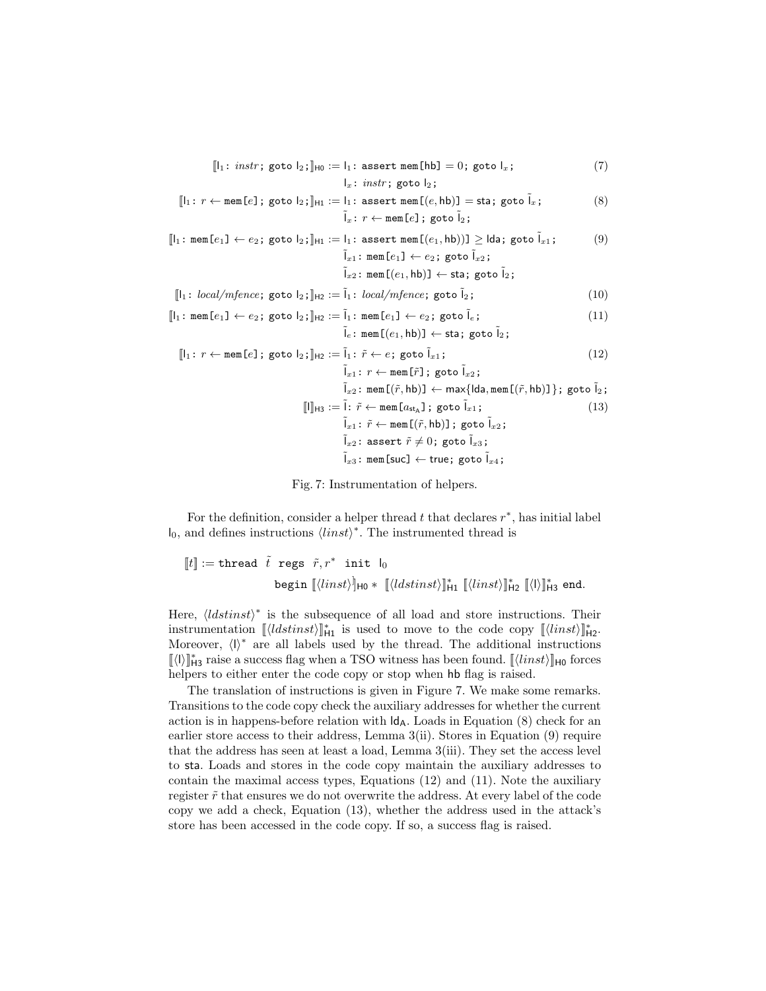<span id="page-13-1"></span><span id="page-13-0"></span>
$$
[l_1: instr; goto l_2; ]_{\text{H0}} := l_1: assert \text{ mem}[hb] = 0; goto l_x; \tag{7}
$$

 $I_x:$  instr; goto  $I_2$ ;

$$
[\![l_1\!:\,r\leftarrow \texttt{mem}[e];\;\texttt{goto}\;l_2\!;\!]\!]_{\texttt{H1}} := \![l_1\!:\texttt{assert mem}[(e,hb)] = \texttt{sta};\;\texttt{goto}\;l_x;\tag{8}
$$
\n
$$
\tilde{l}_x\!:\,r\leftarrow \texttt{mem}[e];\;\texttt{goto}\;l_2\!;
$$

$$
\begin{aligned}\n\llbracket l_1: \text{ mem}[e_1] \leftarrow e_2; \text{goto } l_2; \rrbracket_{\text{H1}} &:= l_1: \text{assert mem}[(e_1, \text{hb}))] \geq \text{lda}; \text{goto } \tilde{l}_{x1}; \\
&\tilde{l}_{x1}: \text{mem}[e_1] \leftarrow e_2; \text{goto } \tilde{l}_{x2}; \\
&\tilde{l}_{x2}: \text{mem}[(e_1, \text{hb})] \leftarrow \text{sta}; \text{goto } \tilde{l}_2;\n\end{aligned}
$$
\n
$$
\begin{aligned}\n\llbracket l_1: \text{mem}[e_1] \leftarrow e_2; \text{goto } \tilde{l}_{x2}; \\
&\text{num}[e_1, \text{hb})] \leftarrow \text{sta}; \text{goto } \tilde{l}_2;\n\end{aligned}
$$

$$
[\![l_1: local/mfence; \text{goto } l_2; \!]_{H2} := \tilde{l}_1: local/mfence; \text{goto } \tilde{l}_2; \tag{10}
$$

$$
[\![l_1\!:\, \mathtt{mem}[e_1]\leftarrow e_2\!:\, \mathtt{goto}\, \mathtt{l}_2\!:\,]\!]_{\mathsf{H}2}:=\tilde{l}_1\!:\, \mathtt{mem}[e_1]\leftarrow e_2\!:\, \mathtt{goto}\,\tilde{l}_e\!:\tag{11}
$$

$$
\tilde{\mathsf{I}}_e \colon \mathtt{mem}\hspace{0.5mm} \mathsf{I}(e_1,\mathsf{hb}) \mathsf{J} \leftarrow \mathtt{sta} \texttt{; goto}\ \tilde{\mathsf{I}}_2 \texttt{;}
$$

$$
[\![l_1: r \leftarrow \text{mem}[e]; \text{goto } l_2; \!]_{H_2} := \tilde{l}_1: \tilde{r} \leftarrow e; \text{goto } \tilde{l}_{x1};
$$
\n
$$
\tilde{l}_{x1}: r \leftarrow \text{mem}[\tilde{r}1: \text{goto } \tilde{l}_{x2}:
$$
\n
$$
(12)
$$

$$
\tilde{l}_{x1} : \dots \text{ mem}[r], \text{geo } i_{x2};
$$
\n
$$
\tilde{l}_{x2} : \text{mem } [(\tilde{r}, \text{hb})] \leftarrow \text{max}\{ \text{lda}, \text{mem } [(\tilde{r}, \text{hb})] \}; \text{goto } \tilde{l}_2; \text{[1]}
$$
\n
$$
\tilde{l}_{x1} : \tilde{r} \leftarrow \text{mem } [(\tilde{r}, \text{hb})]; \text{goto } \tilde{l}_{x2};
$$
\n
$$
\tilde{l}_{x2} : \text{assert } \tilde{r} \neq 0; \text{goto } \tilde{l}_{x3};
$$
\n
$$
\tilde{l}_{x3} : \text{mem } [\text{suC}] \leftarrow \text{true}; \text{goto } \tilde{l}_{x4};
$$

Fig. 7: Instrumentation of helpers.

For the definition, consider a helper thread  $t$  that declares  $r^*$ , has initial label  $I_0$ , and defines instructions  $\langle \text{limits} \rangle^*$ . The instrumented thread is

$$
\begin{aligned} \llbracket t \rrbracket := \texttt{thread} \ \ \tilde{t} \ \ \texttt{regs} \ \ \tilde{r}, r^* \ \ \texttt{init} \ \ \texttt{l}_0 \\ \texttt{begin} \ \llbracket \langle \mathit{links} \rangle \rrbracket_{\mathsf{H0}} * \ \ \llbracket \langle \mathit{ldstinst} \rangle \rrbracket_{\mathsf{H1}} \ \ \llbracket \langle \mathit{links} \rangle \rrbracket_{\mathsf{H2}} * \ \llbracket \langle \mathsf{l} \rangle \rrbracket_{\mathsf{H3}}^* \ \texttt{end}. \end{aligned}
$$

Here,  $\langle \mathit{ldstinst} \rangle^*$  is the subsequence of all load and store instructions. Their instrumentation  $\llbracket \langle \mathit{ldstinst} \rangle \rrbracket_{\mathsf{H1}}^*$  is used to move to the code copy  $\llbracket \langle \mathit{limits} \rangle \rrbracket_{\mathsf{H2}}^*$ . Moreover,  $\langle \mathbf{l} \rangle^*$  are all labels used by the thread. The additional instructions  $[\! \![\langle l\rangle]\!]_{\mathsf{H3}}^*$  raise a success flag when a TSO witness has been found.  $[\![\langle linst\rangle]\!]_{\mathsf{H0}}$  forces helpers to either enter the code copy or stop when hb flag is raised.

The translation of instructions is given in Figure [7.](#page-13-0) We make some remarks. Transitions to the code copy check the auxiliary addresses for whether the current action is in happens-before relation with  $\mathsf{Id}_A$ . Loads in Equation [\(8\)](#page-13-1) check for an earlier store access to their address, Lemma [3\(](#page-12-2)ii). Stores in Equation [\(9\)](#page-13-1) require that the address has seen at least a load, Lemma [3\(](#page-12-2)iii). They set the access level to sta. Loads and stores in the code copy maintain the auxiliary addresses to contain the maximal access types, Equations [\(12\)](#page-13-1) and [\(11\)](#page-13-1). Note the auxiliary register  $\tilde{r}$  that ensures we do not overwrite the address. At every label of the code copy we add a check, Equation [\(13\)](#page-13-1), whether the address used in the attack's store has been accessed in the code copy. If so, a success flag is raised.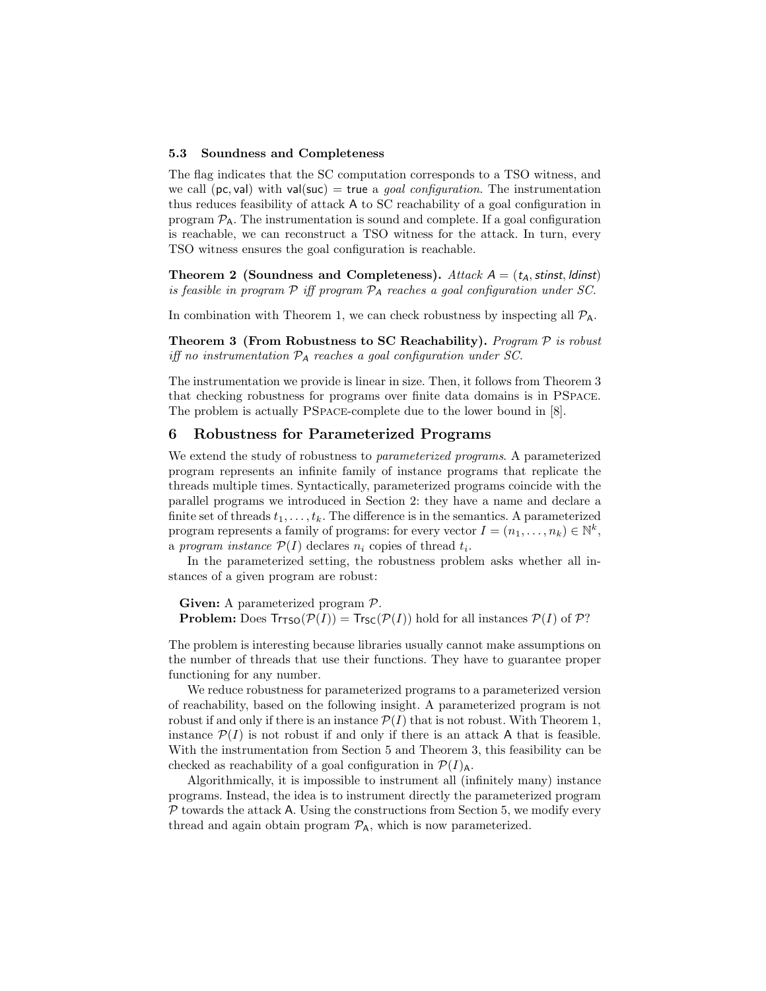#### 5.3 Soundness and Completeness

The flag indicates that the SC computation corresponds to a TSO witness, and we call (pc, val) with val(suc) = true a goal configuration. The instrumentation thus reduces feasibility of attack A to SC reachability of a goal configuration in program  $P_A$ . The instrumentation is sound and complete. If a goal configuration is reachable, we can reconstruct a TSO witness for the attack. In turn, every TSO witness ensures the goal configuration is reachable.

Theorem 2 (Soundness and Completeness). Attack  $A = (t_A,$  stinst, ldinst) is feasible in program  $\mathcal P$  iff program  $\mathcal P_A$  reaches a goal configuration under SC.

<span id="page-14-0"></span>In combination with Theorem [1,](#page-9-0) we can check robustness by inspecting all  $P_A$ .

Theorem 3 (From Robustness to SC Reachability). Program  $P$  is robust iff no instrumentation  $P_A$  reaches a goal configuration under SC.

The instrumentation we provide is linear in size. Then, it follows from Theorem [3](#page-14-0) that checking robustness for programs over finite data domains is in PSpace. The problem is actually PSpace-complete due to the lower bound in [\[8\]](#page-19-5).

# 6 Robustness for Parameterized Programs

We extend the study of robustness to *parameterized programs*. A parameterized program represents an infinite family of instance programs that replicate the threads multiple times. Syntactically, parameterized programs coincide with the parallel programs we introduced in Section [2:](#page-4-1) they have a name and declare a finite set of threads  $t_1, \ldots, t_k$ . The difference is in the semantics. A parameterized program represents a family of programs: for every vector  $I = (n_1, \ldots, n_k) \in \mathbb{N}^k$ , a program instance  $\mathcal{P}(I)$  declares  $n_i$  copies of thread  $t_i$ .

In the parameterized setting, the robustness problem asks whether all instances of a given program are robust:

Given: A parameterized program  $P$ . **Problem:** Does  $Tr_{\text{TSO}}(\mathcal{P}(I)) = Tr_{\text{SC}}(\mathcal{P}(I))$  hold for all instances  $\mathcal{P}(I)$  of  $\mathcal{P}$ ?

The problem is interesting because libraries usually cannot make assumptions on the number of threads that use their functions. They have to guarantee proper functioning for any number.

We reduce robustness for parameterized programs to a parameterized version of reachability, based on the following insight. A parameterized program is not robust if and only if there is an instance  $\mathcal{P}(I)$  that is not robust. With Theorem [1,](#page-9-0) instance  $\mathcal{P}(I)$  is not robust if and only if there is an attack A that is feasible. With the instrumentation from Section [5](#page-9-1) and Theorem [3,](#page-14-0) this feasibility can be checked as reachability of a goal configuration in  $\mathcal{P}(I)_{\mathsf{A}}$ .

Algorithmically, it is impossible to instrument all (infinitely many) instance programs. Instead, the idea is to instrument directly the parameterized program  $P$  towards the attack A. Using the constructions from Section [5,](#page-9-1) we modify every thread and again obtain program  $\mathcal{P}_A$ , which is now parameterized.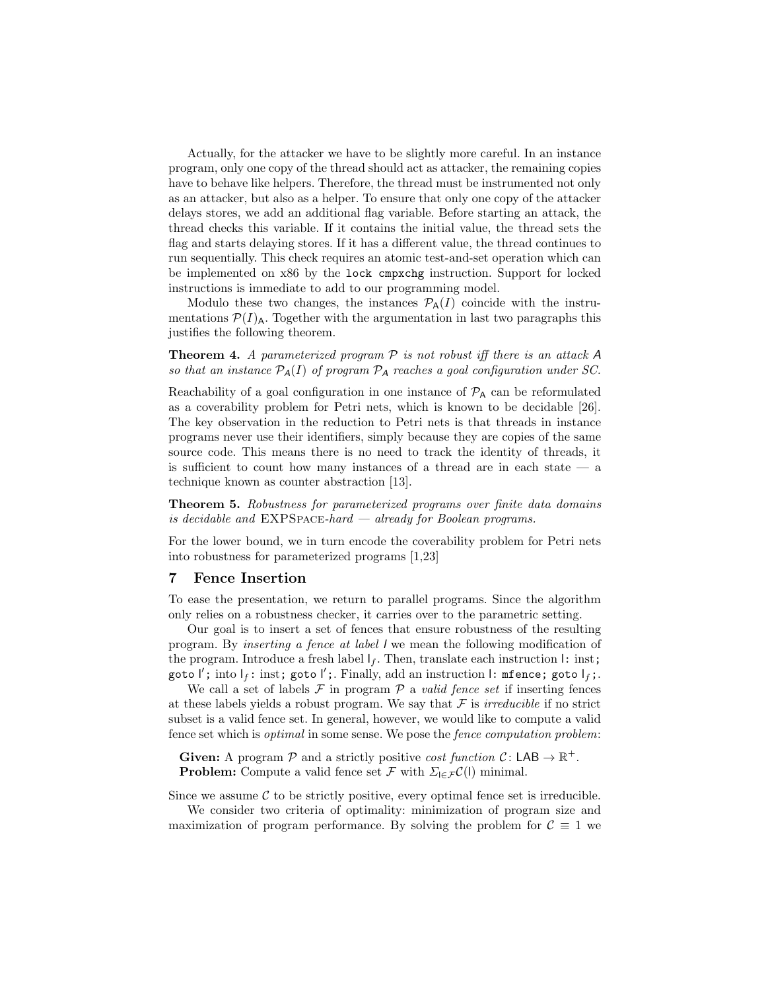Actually, for the attacker we have to be slightly more careful. In an instance program, only one copy of the thread should act as attacker, the remaining copies have to behave like helpers. Therefore, the thread must be instrumented not only as an attacker, but also as a helper. To ensure that only one copy of the attacker delays stores, we add an additional flag variable. Before starting an attack, the thread checks this variable. If it contains the initial value, the thread sets the flag and starts delaying stores. If it has a different value, the thread continues to run sequentially. This check requires an atomic test-and-set operation which can be implemented on x86 by the lock cmpxchg instruction. Support for locked instructions is immediate to add to our programming model.

<span id="page-15-1"></span>Modulo these two changes, the instances  $\mathcal{P}_{A}(I)$  coincide with the instrumentations  $\mathcal{P}(I)_{\mathsf{A}}$ . Together with the argumentation in last two paragraphs this justifies the following theorem.

**Theorem 4.** A parameterized program  $P$  is not robust iff there is an attack  $A$ so that an instance  $\mathcal{P}_A(I)$  of program  $\mathcal{P}_A$  reaches a goal configuration under SC.

Reachability of a goal configuration in one instance of  $P_A$  can be reformulated as a coverability problem for Petri nets, which is known to be decidable [\[26\]](#page-20-3). The key observation in the reduction to Petri nets is that threads in instance programs never use their identifiers, simply because they are copies of the same source code. This means there is no need to track the identity of threads, it is sufficient to count how many instances of a thread are in each state  $-$  a technique known as counter abstraction [\[13\]](#page-19-14).

Theorem 5. Robustness for parameterized programs over finite data domains is decidable and  $EXPSPACE$ -hard  $-$  already for Boolean programs.

For the lower bound, we in turn encode the coverability problem for Petri nets into robustness for parameterized programs [\[1,](#page-19-13)[23\]](#page-20-4)

### <span id="page-15-0"></span>7 Fence Insertion

To ease the presentation, we return to parallel programs. Since the algorithm only relies on a robustness checker, it carries over to the parametric setting.

Our goal is to insert a set of fences that ensure robustness of the resulting program. By inserting a fence at label l we mean the following modification of the program. Introduce a fresh label  $I_f$ . Then, translate each instruction  $I$ : inst; goto  $\mathsf{I}^\prime$ ; into  $\mathsf{I}_f$ : inst; goto  $\mathsf{I}^\prime$ ;. Finally, add an instruction  $\mathsf{I}:$  mfence; goto  $\mathsf{I}_f$ ;.

We call a set of labels  $\mathcal F$  in program  $\mathcal P$  a valid fence set if inserting fences at these labels yields a robust program. We say that  $\mathcal F$  is *irreducible* if no strict subset is a valid fence set. In general, however, we would like to compute a valid fence set which is optimal in some sense. We pose the fence computation problem:

**Given:** A program  $\mathcal{P}$  and a strictly positive *cost function*  $\mathcal{C}$ : LAB  $\rightarrow \mathbb{R}^+$ . **Problem:** Compute a valid fence set  $\mathcal{F}$  with  $\Sigma_{\mathcal{E}} \mathcal{F}(\mathcal{C})$  minimal.

Since we assume  $\mathcal C$  to be strictly positive, every optimal fence set is irreducible.

We consider two criteria of optimality: minimization of program size and maximization of program performance. By solving the problem for  $\mathcal{C} \equiv 1$  we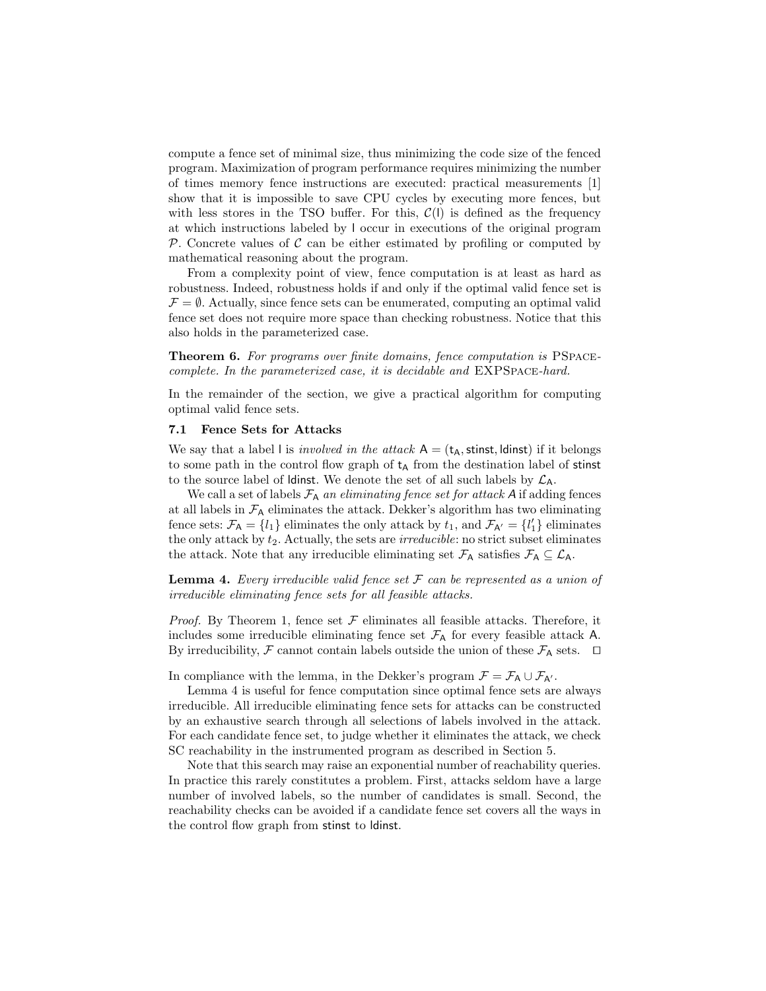compute a fence set of minimal size, thus minimizing the code size of the fenced program. Maximization of program performance requires minimizing the number of times memory fence instructions are executed: practical measurements [\[1\]](#page-19-13) show that it is impossible to save CPU cycles by executing more fences, but with less stores in the TSO buffer. For this,  $\mathcal{C}(I)$  is defined as the frequency at which instructions labeled by l occur in executions of the original program  $P$ . Concrete values of  $C$  can be either estimated by profiling or computed by mathematical reasoning about the program.

From a complexity point of view, fence computation is at least as hard as robustness. Indeed, robustness holds if and only if the optimal valid fence set is  $\mathcal{F} = \emptyset$ . Actually, since fence sets can be enumerated, computing an optimal valid fence set does not require more space than checking robustness. Notice that this also holds in the parameterized case.

Theorem 6. For programs over finite domains, fence computation is PSpacecomplete. In the parameterized case, it is decidable and EXPSpace-hard.

In the remainder of the section, we give a practical algorithm for computing optimal valid fence sets.

#### 7.1 Fence Sets for Attacks

We say that a label I is *involved in the attack*  $A = (t_A,$  stinst, Idinst) if it belongs to some path in the control flow graph of  $t_A$  from the destination label of stinst to the source label of ldinst. We denote the set of all such labels by  $\mathcal{L}_A$ .

We call a set of labels  $\mathcal{F}_A$  an eliminating fence set for attack A if adding fences at all labels in  $\mathcal{F}_A$  eliminates the attack. Dekker's algorithm has two eliminating fence sets:  $\mathcal{F}_A = \{l_1\}$  eliminates the only attack by  $t_1$ , and  $\mathcal{F}_{A'} = \{l'_1\}$  eliminates the only attack by  $t_2$ . Actually, the sets are *irreducible*: no strict subset eliminates the attack. Note that any irreducible eliminating set  $\mathcal{F}_{A}$  satisfies  $\mathcal{F}_{A} \subseteq \mathcal{L}_{A}$ .

<span id="page-16-0"></span>**Lemma 4.** Every irreducible valid fence set  $\mathcal F$  can be represented as a union of irreducible eliminating fence sets for all feasible attacks.

*Proof.* By Theorem [1,](#page-9-0) fence set  $\mathcal F$  eliminates all feasible attacks. Therefore, it includes some irreducible eliminating fence set  $\mathcal{F}_A$  for every feasible attack A. By irreducibility,  $\mathcal F$  cannot contain labels outside the union of these  $\mathcal F_A$  sets.  $\Box$ 

In compliance with the lemma, in the Dekker's program  $\mathcal{F} = \mathcal{F}_{A} \cup \mathcal{F}_{A'}$ .

Lemma [4](#page-16-0) is useful for fence computation since optimal fence sets are always irreducible. All irreducible eliminating fence sets for attacks can be constructed by an exhaustive search through all selections of labels involved in the attack. For each candidate fence set, to judge whether it eliminates the attack, we check SC reachability in the instrumented program as described in Section [5.](#page-9-1)

Note that this search may raise an exponential number of reachability queries. In practice this rarely constitutes a problem. First, attacks seldom have a large number of involved labels, so the number of candidates is small. Second, the reachability checks can be avoided if a candidate fence set covers all the ways in the control flow graph from stinst to ldinst.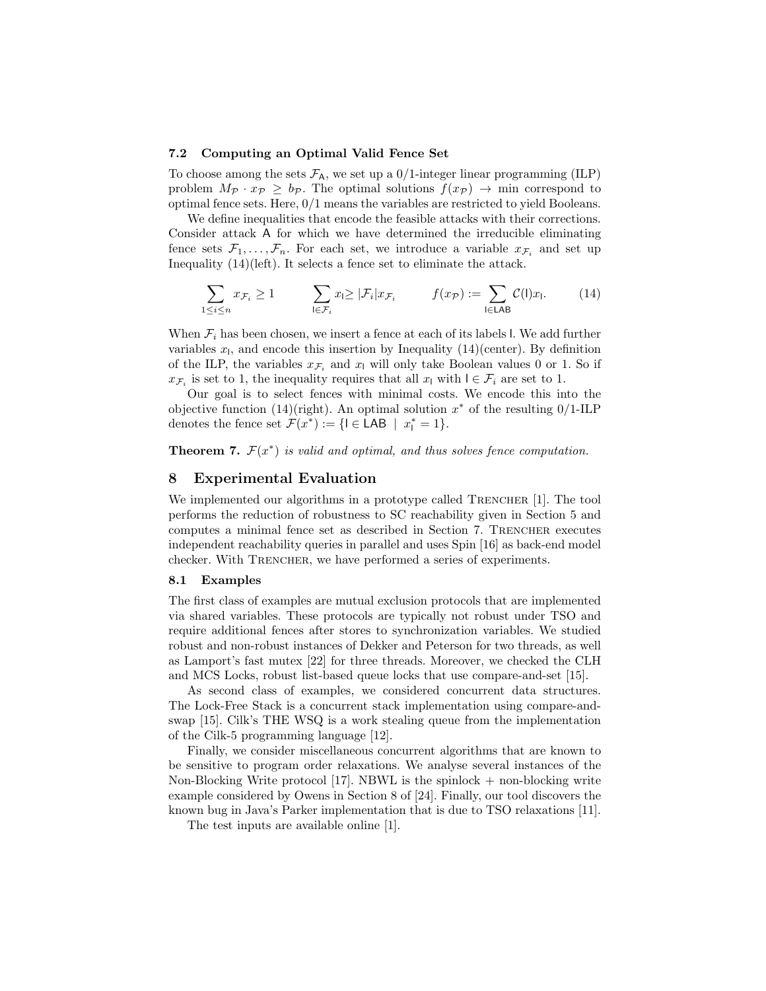# 7.2 Computing an Optimal Valid Fence Set

To choose among the sets  $\mathcal{F}_{A}$ , we set up a 0/1-integer linear programming (ILP) problem  $M_{\mathcal{P}} \cdot x_{\mathcal{P}} \geq b_{\mathcal{P}}$ . The optimal solutions  $f(x_{\mathcal{P}}) \rightarrow$  min correspond to optimal fence sets. Here, 0/1 means the variables are restricted to yield Booleans.

We define inequalities that encode the feasible attacks with their corrections. Consider attack A for which we have determined the irreducible eliminating fence sets  $\mathcal{F}_1, \ldots, \mathcal{F}_n$ . For each set, we introduce a variable  $x_{\mathcal{F}_i}$  and set up Inequality [\(14\)](#page-17-0)(left). It selects a fence set to eliminate the attack.

<span id="page-17-0"></span>
$$
\sum_{1 \le i \le n} x_{\mathcal{F}_i} \ge 1 \qquad \sum_{\mathbf{l} \in \mathcal{F}_i} x_{\mathbf{l}} \ge |\mathcal{F}_i| x_{\mathcal{F}_i} \qquad f(x_{\mathcal{P}}) := \sum_{\mathbf{l} \in \mathsf{LAB}} \mathcal{C}(\mathbf{l}) x_{\mathbf{l}}. \tag{14}
$$

When  $\mathcal{F}_i$  has been chosen, we insert a fence at each of its labels l. We add further variables  $x_1$ , and encode this insertion by Inequality [\(14\)](#page-17-0)(center). By definition of the ILP, the variables  $x_{\mathcal{F}_i}$  and  $x_{\mathsf{I}}$  will only take Boolean values 0 or 1. So if  $x_{\mathcal{F}_i}$  is set to 1, the inequality requires that all  $x_i$  with  $l \in \mathcal{F}_i$  are set to 1.

Our goal is to select fences with minimal costs. We encode this into the objective function [\(14\)](#page-17-0)(right). An optimal solution  $x^*$  of the resulting 0/1-ILP denotes the fence set  $\mathcal{F}(x^*) := \{ \mathsf{I} \in \mathsf{LAB} \mid x^*_{\mathsf{I}} = 1 \}.$ 

**Theorem 7.**  $\mathcal{F}(x^*)$  is valid and optimal, and thus solves fence computation.

### 8 Experimental Evaluation

We implemented our algorithms in a prototype called TRENCHER [\[1\]](#page-19-13). The tool performs the reduction of robustness to SC reachability given in Section [5](#page-9-1) and computes a minimal fence set as described in Section [7.](#page-15-0) TRENCHER executes independent reachability queries in parallel and uses Spin [\[16\]](#page-19-15) as back-end model checker. With TRENCHER, we have performed a series of experiments.

#### 8.1 Examples

The first class of examples are mutual exclusion protocols that are implemented via shared variables. These protocols are typically not robust under TSO and require additional fences after stores to synchronization variables. We studied robust and non-robust instances of Dekker and Peterson for two threads, as well as Lamport's fast mutex [\[22\]](#page-20-9) for three threads. Moreover, we checked the CLH and MCS Locks, robust list-based queue locks that use compare-and-set [\[15\]](#page-19-16).

As second class of examples, we considered concurrent data structures. The Lock-Free Stack is a concurrent stack implementation using compare-andswap [\[15\]](#page-19-16). Cilk's THE WSQ is a work stealing queue from the implementation of the Cilk-5 programming language [\[12\]](#page-19-17).

Finally, we consider miscellaneous concurrent algorithms that are known to be sensitive to program order relaxations. We analyse several instances of the Non-Blocking Write protocol [\[17\]](#page-19-7). NBWL is the spinlock  $+$  non-blocking write example considered by Owens in Section 8 of [\[24\]](#page-20-5). Finally, our tool discovers the known bug in Java's Parker implementation that is due to TSO relaxations [\[11\]](#page-19-18).

The test inputs are available online [\[1\]](#page-19-13).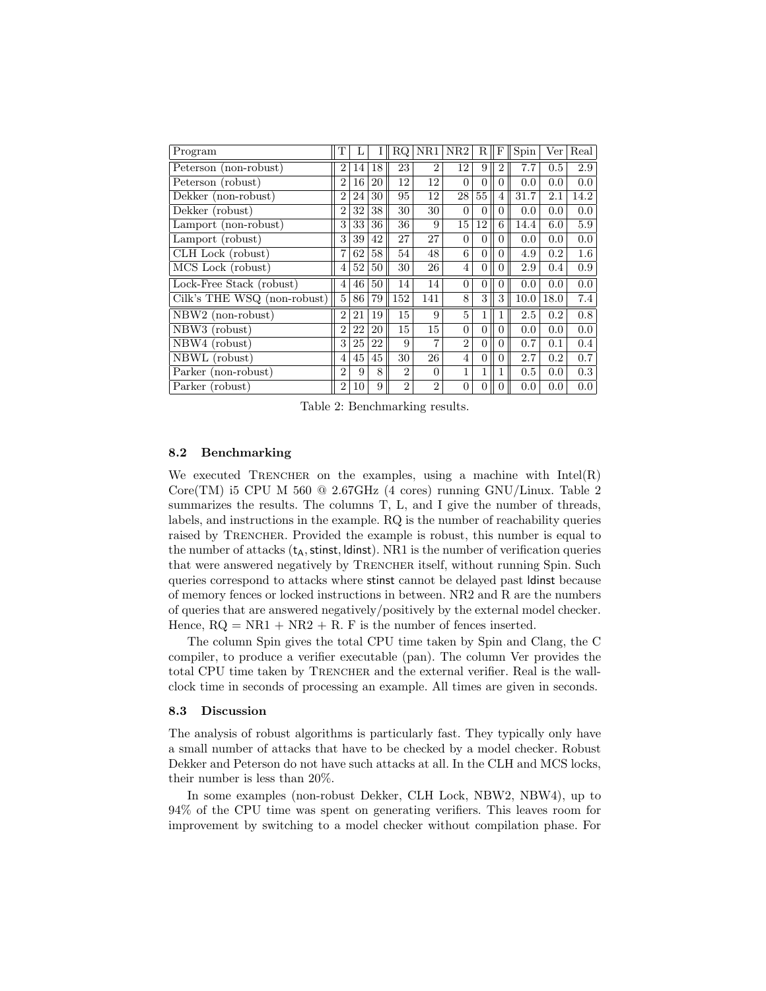<span id="page-18-0"></span>

| Program                           | т              |    |    | RQ.            | NR1            | NR2            | R              | F              | Spin | Ver  | Real    |
|-----------------------------------|----------------|----|----|----------------|----------------|----------------|----------------|----------------|------|------|---------|
| Peterson (non-robust)             | 2              | 14 | 18 | 23             | $\overline{2}$ | 12             | 9              | $\overline{2}$ | 7.7  | 0.5  | $2.9\,$ |
| Peterson (robust)                 | $\overline{2}$ | 16 | 20 | 12             | 12             | $\Omega$       | $\theta$       | 0              | 0.0  | 0.0  | 0.0     |
| Dekker (non-robust)               | $\overline{2}$ | 24 | 30 | 95             | 12             | 28             | 55             | $\overline{4}$ | 31.7 | 2.1  | 14.2    |
| Dekker (robust)                   | $\overline{2}$ | 32 | 38 | 30             | 30             | $\Omega$       | $\theta$       | $\theta$       | 0.0  | 0.0  | 0.0     |
| Lamport (non-robust)              | 3              | 33 | 36 | 36             | 9              | 15             | 12             | 6              | 14.4 | 6.0  | 5.9     |
| Lamport (robust)                  | 3              | 39 | 42 | 27             | 27             | $\Omega$       | $\theta$       | 0              | 0.0  | 0.0  | 0.0     |
| CLH Lock (robust)                 | 7              | 62 | 58 | 54             | 48             | 6              | $\theta$       | $\theta$       | 4.9  | 0.2  | 1.6     |
| MCS Lock (robust)                 | $\overline{4}$ | 52 | 50 | 30             | 26             | $\overline{4}$ | $\Omega$       | 0              | 2.9  | 0.4  | 0.9     |
| Lock-Free Stack (robust)          | $\overline{4}$ | 46 | 50 | 14             | 14             | $\Omega$       | $\overline{0}$ | $\overline{0}$ | 0.0  | 0.0  | 0.0     |
| Cilk's THE WSQ (non-robust)       | 5              | 86 | 79 | 152            | 141            | 8              | 3              | 3              | 10.0 | 18.0 | 7.4     |
| NBW2 (non-robust)                 | $\overline{2}$ | 21 | 19 | 15             | 9              | 5              | 1              |                | 2.5  | 0.2  | 0.8     |
| $\overline{\text{NBW3}}$ (robust) | $\overline{2}$ | 22 | 20 | 15             | 15             | $\Omega$       | $\theta$       | $\theta$       | 0.0  | 0.0  | 0.0     |
| $\overline{\text{NBW4}}$ (robust) | 3              | 25 | 22 | 9              | $\overline{7}$ | $\overline{2}$ | $\overline{0}$ | 0              | 0.7  | 0.1  | 0.4     |
| $\overline{\text{NBWL}}$ (robust) | $\overline{4}$ | 45 | 45 | 30             | 26             | $\overline{4}$ | $\theta$       | $\theta$       | 2.7  | 0.2  | 0.7     |
| Parker (non-robust)               | $\overline{2}$ | 9  | 8  | $\overline{2}$ | $\Omega$       | $\mathbf{1}$   | 1              |                | 0.5  | 0.0  | 0.3     |
| Parker (robust)                   | $\overline{2}$ | 10 | 9  | $\mathfrak{D}$ | $\mathfrak{D}$ | $\overline{0}$ | $\Omega$       | 0              | 0.0  | 0.0  | 0.0     |

Table 2: Benchmarking results.

### 8.2 Benchmarking

We executed TRENCHER on the examples, using a machine with  $Intel(R)$ Core(TM) i5 CPU M 560  $@$  [2](#page-18-0).67GHz (4 cores) running GNU/Linux. Table 2 summarizes the results. The columns T, L, and I give the number of threads, labels, and instructions in the example. RQ is the number of reachability queries raised by TRENCHER. Provided the example is robust, this number is equal to the number of attacks  $(t_A, \text{stinst}, \text{ldinst})$ . NR1 is the number of verification queries that were answered negatively by TRENCHER itself, without running Spin. Such queries correspond to attacks where stinst cannot be delayed past ldinst because of memory fences or locked instructions in between. NR2 and R are the numbers of queries that are answered negatively/positively by the external model checker. Hence,  $RQ = NR1 + NR2 + R$ . F is the number of fences inserted.

The column Spin gives the total CPU time taken by Spin and Clang, the C compiler, to produce a verifier executable (pan). The column Ver provides the total CPU time taken by TRENCHER and the external verifier. Real is the wallclock time in seconds of processing an example. All times are given in seconds.

#### 8.3 Discussion

The analysis of robust algorithms is particularly fast. They typically only have a small number of attacks that have to be checked by a model checker. Robust Dekker and Peterson do not have such attacks at all. In the CLH and MCS locks, their number is less than 20%.

In some examples (non-robust Dekker, CLH Lock, NBW2, NBW4), up to 94% of the CPU time was spent on generating verifiers. This leaves room for improvement by switching to a model checker without compilation phase. For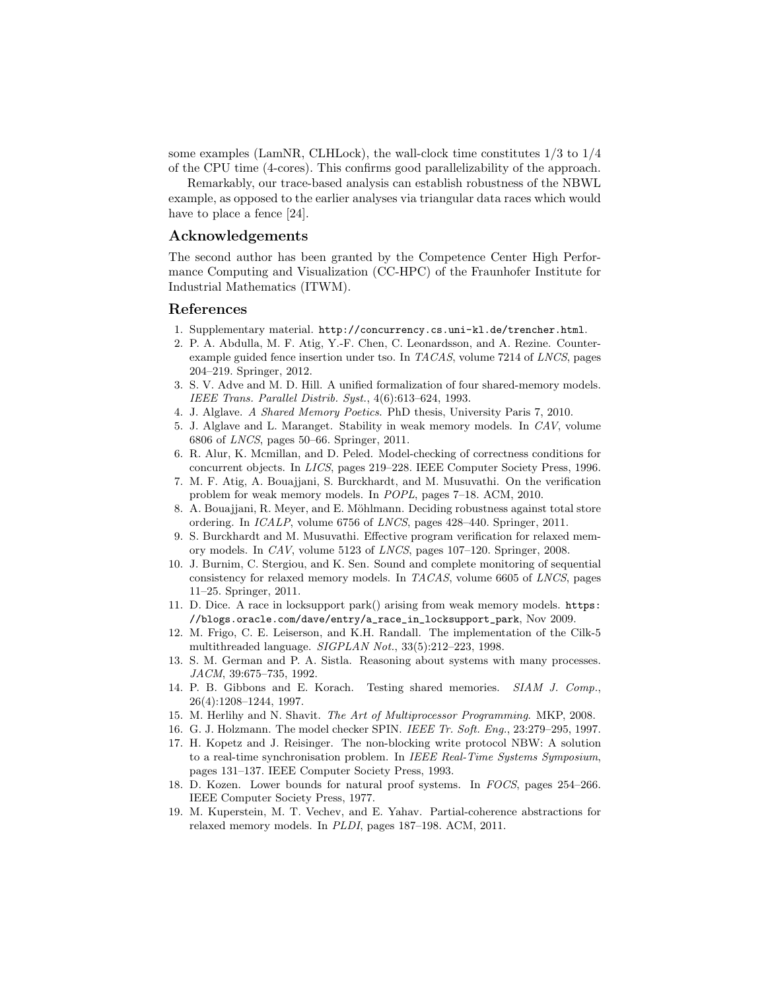some examples (LamNR, CLHLock), the wall-clock time constitutes  $1/3$  to  $1/4$ of the CPU time (4-cores). This confirms good parallelizability of the approach.

Remarkably, our trace-based analysis can establish robustness of the NBWL example, as opposed to the earlier analyses via triangular data races which would have to place a fence [\[24\]](#page-20-5).

# Acknowledgements

The second author has been granted by the Competence Center High Performance Computing and Visualization (CC-HPC) of the Fraunhofer Institute for Industrial Mathematics (ITWM).

#### References

- <span id="page-19-13"></span>1. Supplementary material. <http://concurrency.cs.uni-kl.de/trencher.html>.
- <span id="page-19-11"></span>2. P. A. Abdulla, M. F. Atig, Y.-F. Chen, C. Leonardsson, and A. Rezine. Counterexample guided fence insertion under tso. In TACAS, volume 7214 of LNCS, pages 204–219. Springer, 2012.
- <span id="page-19-0"></span>3. S. V. Adve and M. D. Hill. A unified formalization of four shared-memory models. IEEE Trans. Parallel Distrib. Syst., 4(6):613–624, 1993.
- <span id="page-19-3"></span>4. J. Alglave. A Shared Memory Poetics. PhD thesis, University Paris 7, 2010.
- <span id="page-19-4"></span>5. J. Alglave and L. Maranget. Stability in weak memory models. In CAV, volume 6806 of LNCS, pages 50–66. Springer, 2011.
- <span id="page-19-9"></span>6. R. Alur, K. Mcmillan, and D. Peled. Model-checking of correctness conditions for concurrent objects. In LICS, pages 219–228. IEEE Computer Society Press, 1996.
- <span id="page-19-8"></span>7. M. F. Atig, A. Bouajjani, S. Burckhardt, and M. Musuvathi. On the verification problem for weak memory models. In POPL, pages 7–18. ACM, 2010.
- <span id="page-19-5"></span>8. A. Bouajjani, R. Meyer, and E. Möhlmann. Deciding robustness against total store ordering. In ICALP, volume 6756 of LNCS, pages 428–440. Springer, 2011.
- <span id="page-19-1"></span>9. S. Burckhardt and M. Musuvathi. Effective program verification for relaxed memory models. In CAV, volume 5123 of LNCS, pages 107–120. Springer, 2008.
- <span id="page-19-2"></span>10. J. Burnim, C. Stergiou, and K. Sen. Sound and complete monitoring of sequential consistency for relaxed memory models. In TACAS, volume 6605 of LNCS, pages 11–25. Springer, 2011.
- <span id="page-19-18"></span>11. D. Dice. A race in locksupport park() arising from weak memory models. [https:](https://blogs.oracle.com/dave/entry/a_race_in_locksupport_park) [//blogs.oracle.com/dave/entry/a\\_race\\_in\\_locksupport\\_park](https://blogs.oracle.com/dave/entry/a_race_in_locksupport_park), Nov 2009.
- <span id="page-19-17"></span>12. M. Frigo, C. E. Leiserson, and K.H. Randall. The implementation of the Cilk-5 multithreaded language. SIGPLAN Not., 33(5):212–223, 1998.
- <span id="page-19-14"></span>13. S. M. German and P. A. Sistla. Reasoning about systems with many processes. JACM, 39:675–735, 1992.
- <span id="page-19-10"></span>14. P. B. Gibbons and E. Korach. Testing shared memories. SIAM J. Comp., 26(4):1208–1244, 1997.
- <span id="page-19-16"></span>15. M. Herlihy and N. Shavit. The Art of Multiprocessor Programming. MKP, 2008.
- <span id="page-19-15"></span>16. G. J. Holzmann. The model checker SPIN. IEEE Tr. Soft. Eng., 23:279–295, 1997.
- <span id="page-19-7"></span>17. H. Kopetz and J. Reisinger. The non-blocking write protocol NBW: A solution to a real-time synchronisation problem. In IEEE Real-Time Systems Symposium, pages 131–137. IEEE Computer Society Press, 1993.
- <span id="page-19-6"></span>18. D. Kozen. Lower bounds for natural proof systems. In FOCS, pages 254–266. IEEE Computer Society Press, 1977.
- <span id="page-19-12"></span>19. M. Kuperstein, M. T. Vechev, and E. Yahav. Partial-coherence abstractions for relaxed memory models. In PLDI, pages 187–198. ACM, 2011.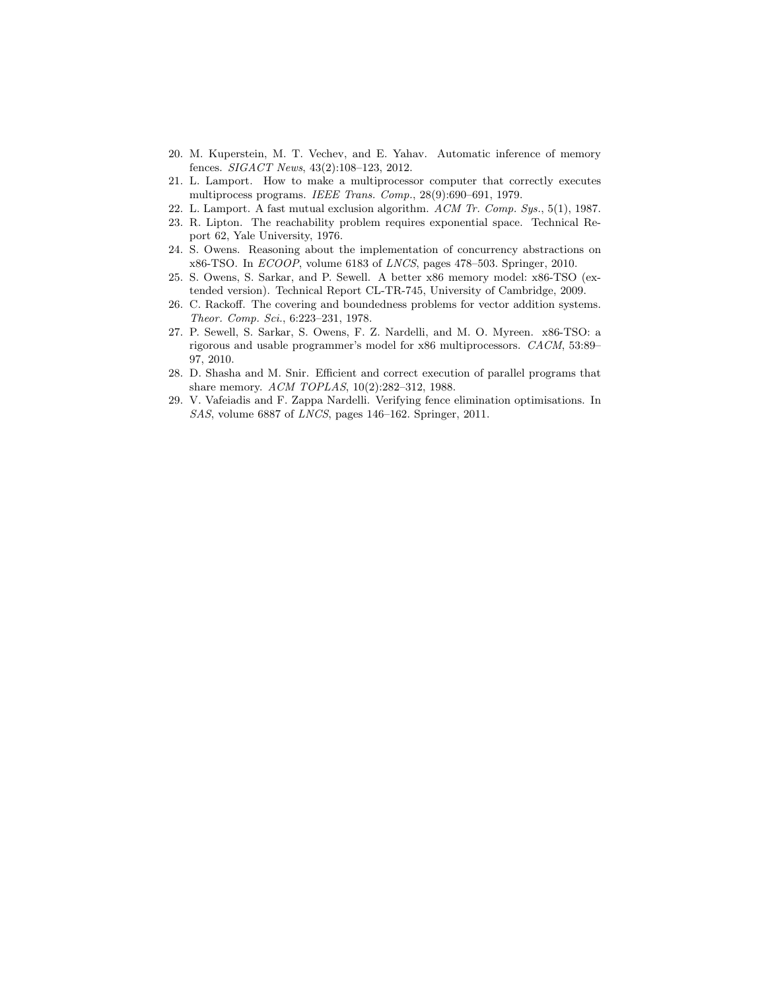- <span id="page-20-6"></span>20. M. Kuperstein, M. T. Vechev, and E. Yahav. Automatic inference of memory fences. SIGACT News, 43(2):108–123, 2012.
- <span id="page-20-0"></span>21. L. Lamport. How to make a multiprocessor computer that correctly executes multiprocess programs. IEEE Trans. Comp., 28(9):690–691, 1979.
- <span id="page-20-9"></span>22. L. Lamport. A fast mutual exclusion algorithm. ACM Tr. Comp. Sys., 5(1), 1987.
- <span id="page-20-4"></span>23. R. Lipton. The reachability problem requires exponential space. Technical Report 62, Yale University, 1976.
- <span id="page-20-5"></span>24. S. Owens. Reasoning about the implementation of concurrency abstractions on x86-TSO. In ECOOP, volume 6183 of LNCS, pages 478–503. Springer, 2010.
- <span id="page-20-8"></span>25. S. Owens, S. Sarkar, and P. Sewell. A better x86 memory model: x86-TSO (extended version). Technical Report CL-TR-745, University of Cambridge, 2009.
- <span id="page-20-3"></span>26. C. Rackoff. The covering and boundedness problems for vector addition systems. Theor. Comp. Sci., 6:223–231, 1978.
- <span id="page-20-1"></span>27. P. Sewell, S. Sarkar, S. Owens, F. Z. Nardelli, and M. O. Myreen. x86-TSO: a rigorous and usable programmer's model for x86 multiprocessors. CACM, 53:89– 97, 2010.
- <span id="page-20-2"></span>28. D. Shasha and M. Snir. Efficient and correct execution of parallel programs that share memory. ACM TOPLAS, 10(2):282–312, 1988.
- <span id="page-20-7"></span>29. V. Vafeiadis and F. Zappa Nardelli. Verifying fence elimination optimisations. In SAS, volume 6887 of LNCS, pages 146–162. Springer, 2011.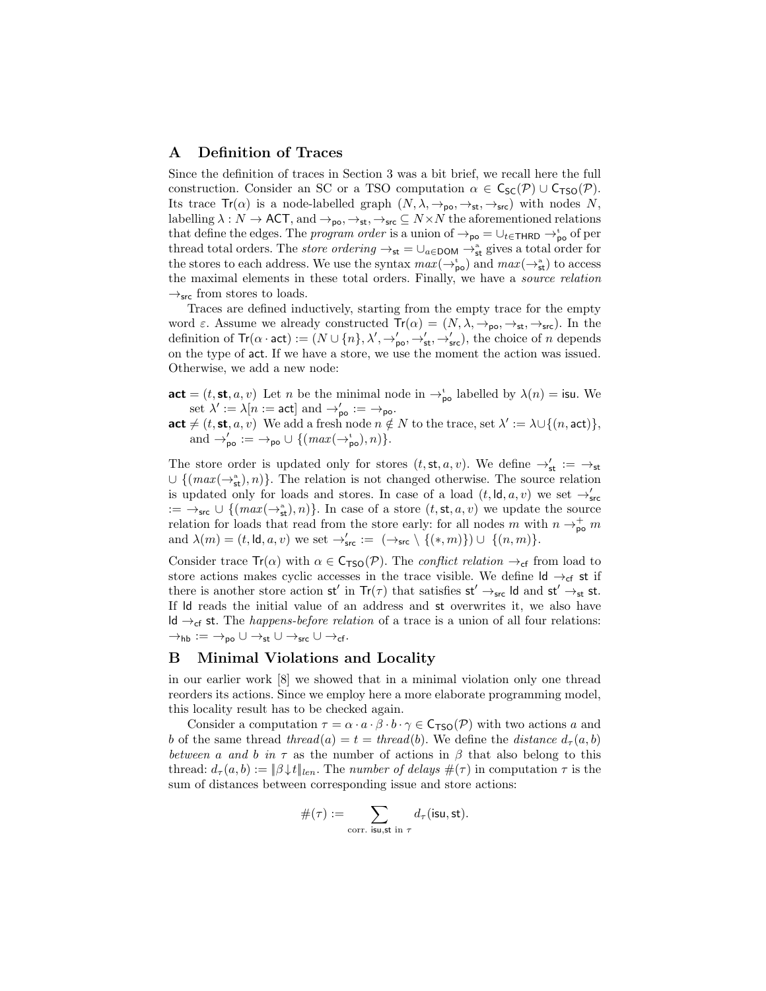# A Definition of Traces

Since the definition of traces in Section [3](#page-6-2) was a bit brief, we recall here the full construction. Consider an SC or a TSO computation  $\alpha \in C_{\text{SC}}(\mathcal{P}) \cup C_{\text{TSO}}(\mathcal{P})$ . Its trace  $Tr(\alpha)$  is a node-labelled graph  $(N, \lambda, \rightarrow_{\text{po}}, \rightarrow_{\text{st}}, \rightarrow_{\text{src}})$  with nodes N, labelling  $\lambda: N \to \text{ACT}$ , and  $\rightarrow_{\text{po}}, \rightarrow_{\text{st}}, \rightarrow_{\text{src}} \subseteq N \times N$  the aforementioned relations that define the edges. The *program order* is a union of  $\rightarrow_{\text{po}}$  =  $\cup_{t \in \text{THRD}}$   $\rightarrow_{\text{po}}^{\text{t}}$  of per thread total orders. The *store ordering*  $\rightarrow_{st} = \bigcup_{a \in DOM} \rightarrow_{st}^{a}$  gives a total order for the stores to each address. We use the syntax  $max(\to_{\text{po}}^t)$  and  $max(\to_{\text{st}}^a)$  to access the maximal elements in these total orders. Finally, we have a source relation  $\rightarrow$ <sub>src</sub> from stores to loads.

Traces are defined inductively, starting from the empty trace for the empty word  $\varepsilon$ . Assume we already constructed  $Tr(\alpha) = (N, \lambda, \rightarrow_{\text{po}}, \rightarrow_{\text{st}}, \rightarrow_{\text{src}})$ . In the definition of  $\text{Tr}(\alpha \cdot \text{act}) := (N \cup \{n\}, \lambda', \rightarrow'_{\text{po}}, \rightarrow'_{\text{st}}, \rightarrow'_{\text{src}})$ , the choice of *n* depends on the type of act. If we have a store, we use the moment the action was issued. Otherwise, we add a new node:

 $\mathsf{act} = (t, \mathsf{st}, a, v)$  Let *n* be the minimal node in  $\rightarrow_{\mathsf{po}}^{\mathsf{t}}$  labelled by  $\lambda(n) = \mathsf{isu}$ . We set  $\lambda' := \lambda[n := \mathsf{act}]$  and  $\rightarrow'_{\mathsf{po}} := \rightarrow_{\mathsf{po}}$ .

act  $\neq$  (*t*, st, *a*, *v*) We add a fresh node  $n \notin N$  to the trace, set  $\lambda' := \lambda \cup \{(n, \text{act})\},\$ and  $\rightarrow'_{\text{po}} := \rightarrow_{\text{po}} \cup \{ (max(\rightarrow^{\text{t}}_{\text{po}}), n) \}.$ 

The store order is updated only for stores  $(t, st, a, v)$ . We define  $\rightarrow'_{st} := \rightarrow_{st}$  $\cup \{ (max(\rightarrow_{st}^a), n) \}$ . The relation is not changed otherwise. The source relation is updated only for loads and stores. In case of a load  $(t, \mathsf{Id}, a, v)$  we set  $\rightarrow'_{\mathsf{src}}$  $:= \rightarrow_{\mathsf{src}} \cup \{ (max(\rightarrow_{\mathsf{st}}^{\mathsf{a}}), n) \}.$  In case of a store  $(t, \mathsf{st}, a, v)$  we update the source relation for loads that read from the store early: for all nodes  $m$  with  $n \to_{\text{po}}^+ m$ and  $\lambda(m) = (t, \mathsf{Id}, a, v)$  we set  $\rightarrow'_{\mathsf{src}} := (\rightarrow_{\mathsf{src}} \setminus \{(*, m)\}) \cup \{(n, m)\}.$ 

Consider trace  $Tr(\alpha)$  with  $\alpha \in \mathsf{C}_{\mathsf{TSO}}(\mathcal{P})$ . The *conflict relation*  $\rightarrow_{\mathsf{cf}}$  from load to store actions makes cyclic accesses in the trace visible. We define  $\mathsf{Id} \to_{\mathsf{cf}}$  st if there is another store action  $st'$  in  $Tr(\tau)$  that satisfies  $st' \rightarrow_{src} \mathsf{Id}$  and  $st' \rightarrow_{st} st$ . If ld reads the initial value of an address and st overwrites it, we also have ld →cf st. The *happens-before relation* of a trace is a union of all four relations:  $\rightarrow_{\text{hb}} := \rightarrow_{\text{po}} \cup \rightarrow_{\text{st}} \cup \rightarrow_{\text{src}} \cup \rightarrow_{\text{cf}}$ .

# <span id="page-21-0"></span>B Minimal Violations and Locality

in our earlier work [\[8\]](#page-19-5) we showed that in a minimal violation only one thread reorders its actions. Since we employ here a more elaborate programming model, this locality result has to be checked again.

Consider a computation  $\tau = \alpha \cdot a \cdot \beta \cdot b \cdot \gamma \in C_{\text{TSO}}(\mathcal{P})$  with two actions a and b of the same thread thread(a) =  $t = thread(b)$ . We define the distance  $d_{\tau}(a, b)$ between a and b in  $\tau$  as the number of actions in  $\beta$  that also belong to this thread:  $d_{\tau}(a, b) := \|\beta \downarrow t\|_{len}$ . The number of delays  $\#(\tau)$  in computation  $\tau$  is the sum of distances between corresponding issue and store actions:

$$
\#(\tau):=\sum_{\mathrm{corr.~isu,st~in~}\tau}d_{\tau}(\mathrm{isu,st}).
$$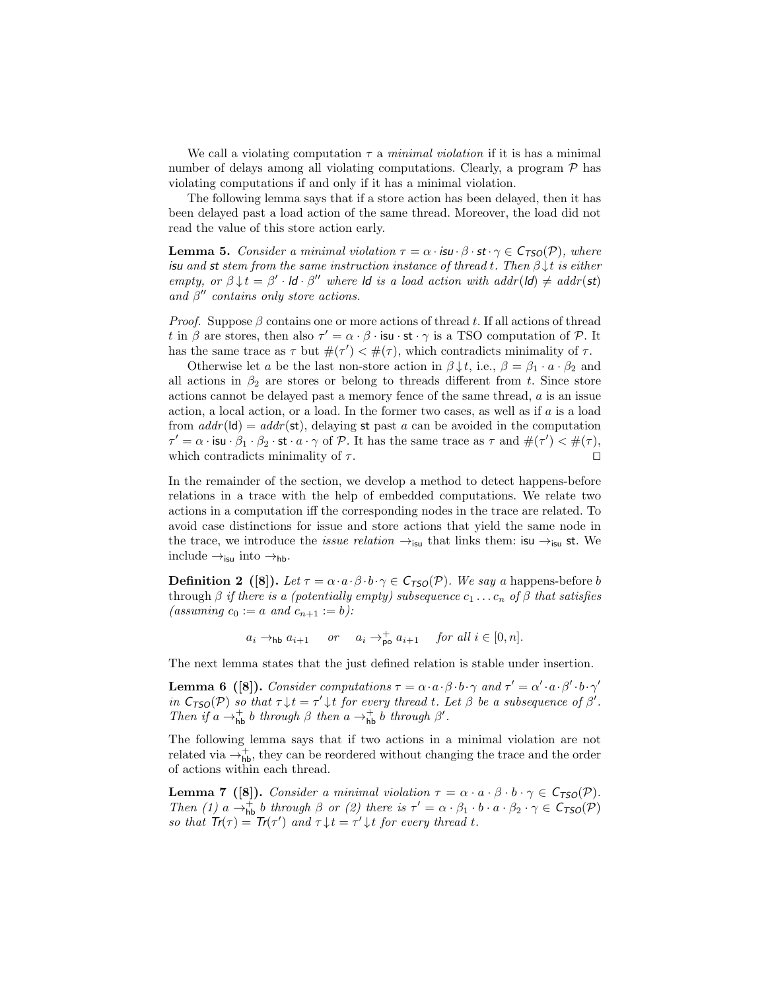We call a violating computation  $\tau$  a *minimal violation* if it is has a minimal number of delays among all violating computations. Clearly, a program  $P$  has violating computations if and only if it has a minimal violation.

<span id="page-22-1"></span>The following lemma says that if a store action has been delayed, then it has been delayed past a load action of the same thread. Moreover, the load did not read the value of this store action early.

**Lemma 5.** Consider a minimal violation  $\tau = \alpha \cdot \mathbf{isu} \cdot \beta \cdot \mathbf{st} \cdot \gamma \in C_{\text{TSO}}(\mathcal{P})$ , where isu and st stem from the same instruction instance of thread t. Then  $\beta \downarrow t$  is either empty, or  $\beta \downarrow t = \beta' \cdot \mathsf{Id} \cdot \beta''$  where  $\mathsf{Id}$  is a load action with addr( $\mathsf{Id}$ )  $\neq$  addr( $\mathsf{st}$ ) and  $\beta''$  contains only store actions.

*Proof.* Suppose  $\beta$  contains one or more actions of thread t. If all actions of thread t in  $\beta$  are stores, then also  $\tau' = \alpha \cdot \beta \cdot \text{isu} \cdot \text{st} \cdot \gamma$  is a TSO computation of  $\mathcal{P}$ . It has the same trace as  $\tau$  but  $\#(\tau') < \#(\tau)$ , which contradicts minimality of  $\tau$ .

Otherwise let a be the last non-store action in  $\beta \downarrow t$ , i.e.,  $\beta = \beta_1 \cdot a \cdot \beta_2$  and all actions in  $\beta_2$  are stores or belong to threads different from t. Since store actions cannot be delayed past a memory fence of the same thread,  $a$  is an issue action, a local action, or a load. In the former two cases, as well as if  $a$  is a load from  $addr(\mathsf{Id}) = addr(\mathsf{st})$ , delaying st past a can be avoided in the computation  $\tau' = \alpha \cdot \text{isu} \cdot \beta_1 \cdot \beta_2 \cdot \text{st} \cdot a \cdot \gamma \text{ of } \mathcal{P}$ . It has the same trace as  $\tau$  and  $\#(\tau') < \#(\tau)$ , which contradicts minimality of  $\tau$ . □

In the remainder of the section, we develop a method to detect happens-before relations in a trace with the help of embedded computations. We relate two actions in a computation iff the corresponding nodes in the trace are related. To avoid case distinctions for issue and store actions that yield the same node in the trace, we introduce the *issue relation*  $\rightarrow$ <sub>isu</sub> that links them: isu  $\rightarrow$ <sub>isu</sub> st. We include  $\rightarrow_{\text{isu}}$  into  $\rightarrow_{\text{hb}}$ .

**Definition 2** ([\[8\]](#page-19-5)). Let  $\tau = \alpha \cdot a \cdot \beta \cdot b \cdot \gamma \in C_{\text{TSO}}(\mathcal{P})$ . We say a happens-before b through  $\beta$  if there is a (potentially empty) subsequence  $c_1 \ldots c_n$  of  $\beta$  that satisfies (assuming  $c_0 := a$  and  $c_{n+1} := b$ ):

<span id="page-22-2"></span><span id="page-22-0"></span> $a_i \rightarrow_{\text{hb}} a_{i+1}$  or  $a_i \rightarrow_{\text{po}}^{\text{+}} a_{i+1}$  for all  $i \in [0, n]$ .

The next lemma states that the just defined relation is stable under insertion.

**Lemma 6** ([\[8\]](#page-19-5)). Consider computations  $\tau = \alpha \cdot a \cdot \beta \cdot b \cdot \gamma$  and  $\tau' = \alpha' \cdot a \cdot \beta' \cdot b \cdot \gamma'$ in  $C_{TSO}(\mathcal{P})$  so that  $\tau \downarrow t = \tau' \downarrow t$  for every thread t. Let  $\beta$  be a subsequence of  $\beta'$ . Then if  $a \rightarrow_{\text{hb}}^+ b$  through  $\beta$  then  $a \rightarrow_{\text{hb}}^+ b$  through  $\beta'$ .

The following lemma says that if two actions in a minimal violation are not related via  $\rightarrow_{\text{hb}}^{+}$ , they can be reordered without changing the trace and the order of actions within each thread.

**Lemma 7** ([\[8\]](#page-19-5)). Consider a minimal violation  $\tau = \alpha \cdot a \cdot \beta \cdot b \cdot \gamma \in C_{\text{TSO}}(\mathcal{P})$ . Then (1)  $a \rightarrow_{\text{hb}}^+ b$  through  $\beta$  or (2) there is  $\tau' = \alpha \cdot \beta_1 \cdot b \cdot a \cdot \beta_2 \cdot \gamma \in C_{\text{TSO}}(\mathcal{P})$ so that  $Tr(\tau) = Tr(\tau')$  and  $\tau \downarrow t = \tau' \downarrow t$  for every thread t.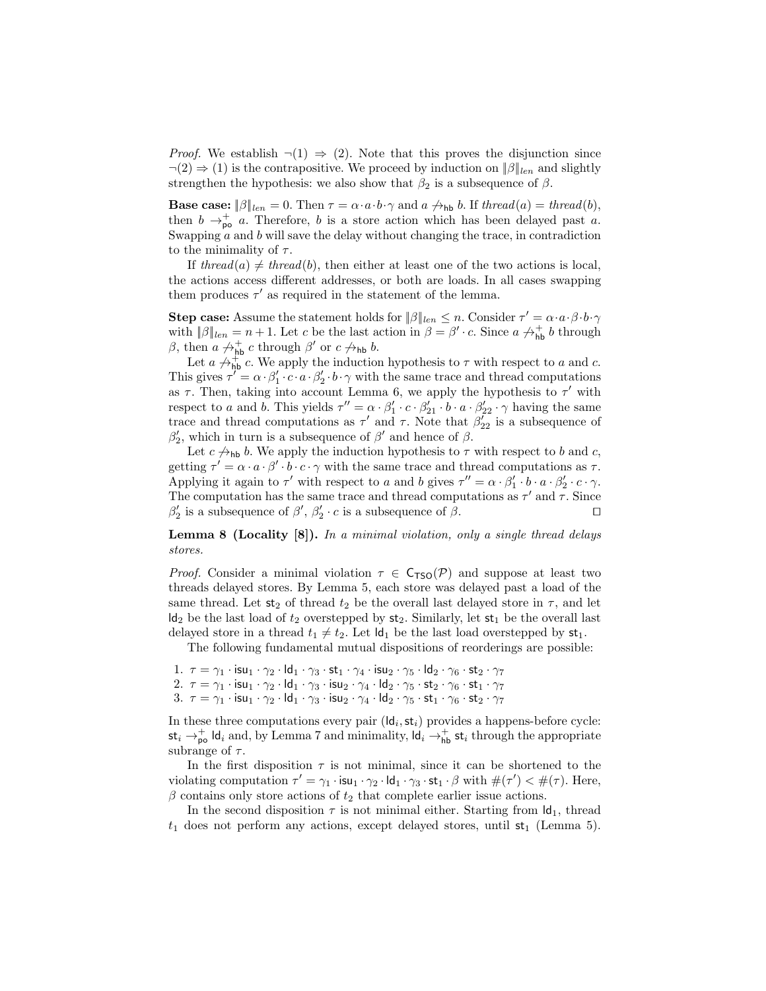*Proof.* We establish  $\neg(1) \Rightarrow (2)$ . Note that this proves the disjunction since  $\neg(2) \Rightarrow (1)$  is the contrapositive. We proceed by induction on  $\|\beta\|_{\text{len}}$  and slightly strengthen the hypothesis: we also show that  $\beta_2$  is a subsequence of  $\beta$ .

**Base case:**  $\|\beta\|_{len} = 0$ . Then  $\tau = \alpha \cdot a \cdot b \cdot \gamma$  and  $a \not\rightarrow_{\text{hb}} b$ . If thread(a) = thread(b), then  $b \rightarrow_{\text{po}}^+ a$ . Therefore, b is a store action which has been delayed past a. Swapping  $a$  and  $b$  will save the delay without changing the trace, in contradiction to the minimality of  $\tau$ .

If thread(a)  $\neq$  thread(b), then either at least one of the two actions is local, the actions access different addresses, or both are loads. In all cases swapping them produces  $\tau'$  as required in the statement of the lemma.

**Step case:** Assume the statement holds for  $\|\beta\|_{len} \leq n$ . Consider  $\tau' = \alpha \cdot a \cdot \beta \cdot b \cdot \gamma$ with  $\|\beta\|_{len} = n + 1$ . Let c be the last action in  $\beta = \beta' \cdot c$ . Since  $a \not\rightarrow_{\text{hb}}^{\text{th}} b$  through  $\beta$ , then  $a \not\rightarrow_{\textsf{hb}}^+ c$  through  $\beta'$  or  $c \not\rightarrow_{\textsf{hb}} b$ .

Let  $a \not\leftrightarrow_{\text{hb}}^{\text{f}} c$ . We apply the induction hypothesis to  $\tau$  with respect to a and c. This gives  $\tau' = \alpha \cdot \beta_1' \cdot c \cdot a \cdot \beta_2' \cdot b \cdot \gamma$  with the same trace and thread computations as  $\tau$ . Then, taking into account Lemma [6,](#page-22-0) we apply the hypothesis to  $\tau'$  with respect to a and b. This yields  $\tau'' = \alpha \cdot \beta'_1 \cdot c \cdot \beta'_{21} \cdot b \cdot a \cdot \beta'_{22} \cdot \gamma$  having the same trace and thread computations as  $\tau'$  and  $\tau$ . Note that  $\beta'_{22}$  is a subsequence of  $\beta'_2$ , which in turn is a subsequence of  $\beta'$  and hence of  $\beta$ .

Let  $c \nightharpoonup_{\text{hb}} b$ . We apply the induction hypothesis to  $\tau$  with respect to  $b$  and  $c$ , getting  $\tau' = \alpha \cdot a \cdot \beta' \cdot b \cdot c \cdot \gamma$  with the same trace and thread computations as  $\tau$ . Applying it again to  $\tau'$  with respect to a and b gives  $\tau'' = \alpha \cdot \beta'_1 \cdot b \cdot a \cdot \beta'_2 \cdot c \cdot \gamma$ . The computation has the same trace and thread computations as  $\tau'$  and  $\tau$ . Since  $\beta'_2$  is a subsequence of  $\beta'$ ,  $\beta'_2 \cdot c$  is a subsequence of  $\beta$ .

**Lemma 8 (Locality [\[8\]](#page-19-5)).** In a minimal violation, only a single thread delays stores.

*Proof.* Consider a minimal violation  $\tau \in C_{\text{TSO}}(\mathcal{P})$  and suppose at least two threads delayed stores. By Lemma [5,](#page-22-1) each store was delayed past a load of the same thread. Let  $st_2$  of thread  $t_2$  be the overall last delayed store in  $\tau$ , and let  $\mathsf{Id}_2$  be the last load of  $t_2$  overstepped by  $\mathsf{st}_2$ . Similarly, let  $\mathsf{st}_1$  be the overall last delayed store in a thread  $t_1 \neq t_2$ . Let  $\mathsf{Id}_1$  be the last load overstepped by  $st_1$ .

The following fundamental mutual dispositions of reorderings are possible:

- 1.  $\tau = \gamma_1 \cdot \text{isu}_1 \cdot \gamma_2 \cdot \text{Id}_1 \cdot \gamma_3 \cdot \text{st}_1 \cdot \gamma_4 \cdot \text{isu}_2 \cdot \gamma_5 \cdot \text{Id}_2 \cdot \gamma_6 \cdot \text{st}_2 \cdot \gamma_7$
- 2.  $\tau = \gamma_1 \cdot \textsf{isu}_1 \cdot \gamma_2 \cdot \textsf{ld}_1 \cdot \gamma_3 \cdot \textsf{isu}_2 \cdot \gamma_4 \cdot \textsf{ld}_2 \cdot \gamma_5 \cdot \textsf{st}_2 \cdot \gamma_6 \cdot \textsf{st}_1 \cdot \gamma_7$
- $3.$   $\tau = \gamma_1 \cdot \mathsf{isu}_1 \cdot \gamma_2 \cdot \mathsf{Id}_1 \cdot \gamma_3 \cdot \mathsf{isu}_2 \cdot \gamma_4 \cdot \mathsf{Id}_2 \cdot \gamma_5 \cdot \mathsf{st}_1 \cdot \gamma_6 \cdot \mathsf{st}_2 \cdot \gamma_7$

In these three computations every pair  $(\mathsf{Id}_i, \mathsf{st}_i)$  provides a happens-before cycle:  $\mathsf{st}_i \to_{\mathsf{po}}^+ \mathsf{Id}_i$  and, by Lemma [7](#page-22-2) and minimality,  $\mathsf{Id}_i \to_{\mathsf{hb}}^+ \mathsf{st}_i$  through the appropriate subrange of  $\tau$ .

In the first disposition  $\tau$  is not minimal, since it can be shortened to the violating computation  $\tau' = \gamma_1 \cdot \text{isu}_1 \cdot \gamma_2 \cdot \text{Id}_1 \cdot \gamma_3 \cdot \text{st}_1 \cdot \beta$  with  $\#(\tau') < \#(\tau)$ . Here,  $\beta$  contains only store actions of  $t_2$  that complete earlier issue actions.

In the second disposition  $\tau$  is not minimal either. Starting from  $\mathsf{Id}_1$ , thread  $t_1$  does not perform any actions, except delayed stores, until  $st_1$  (Lemma [5\)](#page-22-1).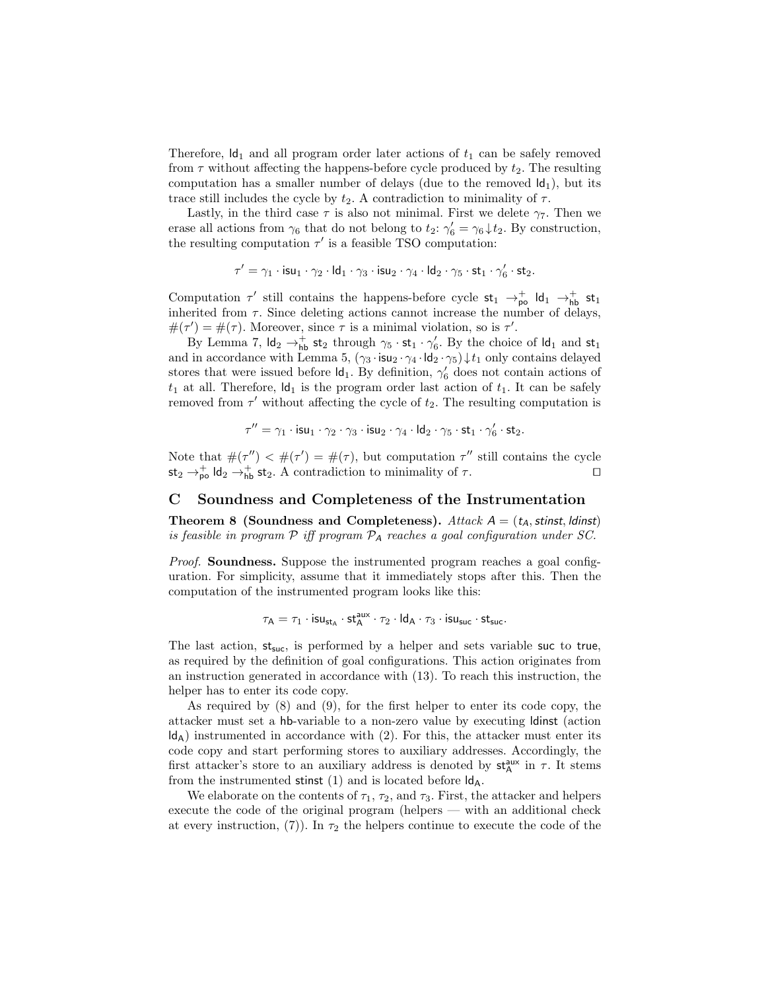Therefore,  $\mathsf{Id}_1$  and all program order later actions of  $t_1$  can be safely removed from  $\tau$  without affecting the happens-before cycle produced by  $t_2$ . The resulting computation has a smaller number of delays (due to the removed  $\mathsf{Id}_1$ ), but its trace still includes the cycle by  $t_2$ . A contradiction to minimality of  $\tau$ .

Lastly, in the third case  $\tau$  is also not minimal. First we delete  $\gamma_7$ . Then we erase all actions from  $\gamma_6$  that do not belong to  $t_2$ :  $\gamma'_6 = \gamma_6 \downarrow t_2$ . By construction, the resulting computation  $\tau'$  is a feasible TSO computation:

$$
\tau' = \gamma_1 \cdot \mathsf{isu}_1 \cdot \gamma_2 \cdot \mathsf{Id}_1 \cdot \gamma_3 \cdot \mathsf{isu}_2 \cdot \gamma_4 \cdot \mathsf{Id}_2 \cdot \gamma_5 \cdot \mathsf{st}_1 \cdot \gamma_6' \cdot \mathsf{st}_2.
$$

Computation  $\tau'$  still contains the happens-before cycle  $st_1 \rightarrow_{\text{po}}^+$  ld<sub>1</sub>  $\rightarrow_{\text{hb}}^+$  st<sub>1</sub> inherited from  $\tau$ . Since deleting actions cannot increase the number of delays,  $\#(\tau') = \#(\tau)$ . Moreover, since  $\tau$  is a minimal violation, so is  $\tau'$ .

By Lemma [7,](#page-22-2)  $\mathsf{Id}_2 \to_{\mathsf{hb}}^+$  st<sub>2</sub> through  $\gamma_5 \cdot \mathsf{st}_1 \cdot \gamma'_6$ . By the choice of  $\mathsf{Id}_1$  and  $\mathsf{st}_1$ and in accordance with Lemma [5,](#page-22-1)  $(\gamma_3 \cdot \text{isu}_2 \cdot \gamma_4 \cdot \text{Id}_2 \cdot \gamma_5) \downarrow t_1$  only contains delayed stores that were issued before  $\mathsf{Id}_1$ . By definition,  $\gamma'_6$  does not contain actions of  $t_1$  at all. Therefore,  $\mathsf{Id}_1$  is the program order last action of  $t_1$ . It can be safely removed from  $\tau'$  without affecting the cycle of  $t_2$ . The resulting computation is

$$
\tau'' = \gamma_1 \cdot \mathsf{isu}_1 \cdot \gamma_2 \cdot \gamma_3 \cdot \mathsf{isu}_2 \cdot \gamma_4 \cdot \mathsf{ld}_2 \cdot \gamma_5 \cdot \mathsf{st}_1 \cdot \gamma_6' \cdot \mathsf{st}_2.
$$

Note that  $\#(\tau'') < \#(\tau') = \#(\tau)$ , but computation  $\tau''$  still contains the cycle  $\mathsf{st}_2 \to_{\mathsf{p}_{\mathsf{D}}}^+ \mathsf{Id}_2 \to_{\mathsf{hb}}^+ \mathsf{st}_2.$  A contradiction to minimality of  $\tau$ .

### C Soundness and Completeness of the Instrumentation

Theorem 8 (Soundness and Completeness). Attack  $A = (t_A, \text{stinst}, \text{ldinst})$ is feasible in program  $P$  iff program  $P_A$  reaches a goal configuration under SC.

Proof. Soundness. Suppose the instrumented program reaches a goal configuration. For simplicity, assume that it immediately stops after this. Then the computation of the instrumented program looks like this:

$$
\tau_{\mathsf{A}} = \tau_1 \cdot \mathsf{isu}_{\mathsf{st}_{\mathsf{A}}} \cdot \mathsf{st}_{\mathsf{A}}^{\mathsf{aux}} \cdot \tau_2 \cdot \mathsf{Id}_{\mathsf{A}} \cdot \tau_3 \cdot \mathsf{isu}_{\mathsf{suc}} \cdot \mathsf{st}_{\mathsf{suc}}.
$$

The last action,  $st_{succ}$ , is performed by a helper and sets variable suc to true, as required by the definition of goal configurations. This action originates from an instruction generated in accordance with [\(13\)](#page-13-1). To reach this instruction, the helper has to enter its code copy.

As required by [\(8\)](#page-13-1) and [\(9\)](#page-13-1), for the first helper to enter its code copy, the attacker must set a hb-variable to a non-zero value by executing ldinst (action  $\mathsf{Id}_\mathsf{A}$ ) instrumented in accordance with [\(2\)](#page-11-1). For this, the attacker must enter its code copy and start performing stores to auxiliary addresses. Accordingly, the first attacker's store to an auxiliary address is denoted by  $st_A^{aux}$  in  $\tau$ . It stems from the instrumented stinst  $(1)$  and is located before  $\mathsf{Id}_A$ .

We elaborate on the contents of  $\tau_1$ ,  $\tau_2$ , and  $\tau_3$ . First, the attacker and helpers execute the code of the original program (helpers — with an additional check at every instruction, [\(7\)](#page-13-1)). In  $\tau_2$  the helpers continue to execute the code of the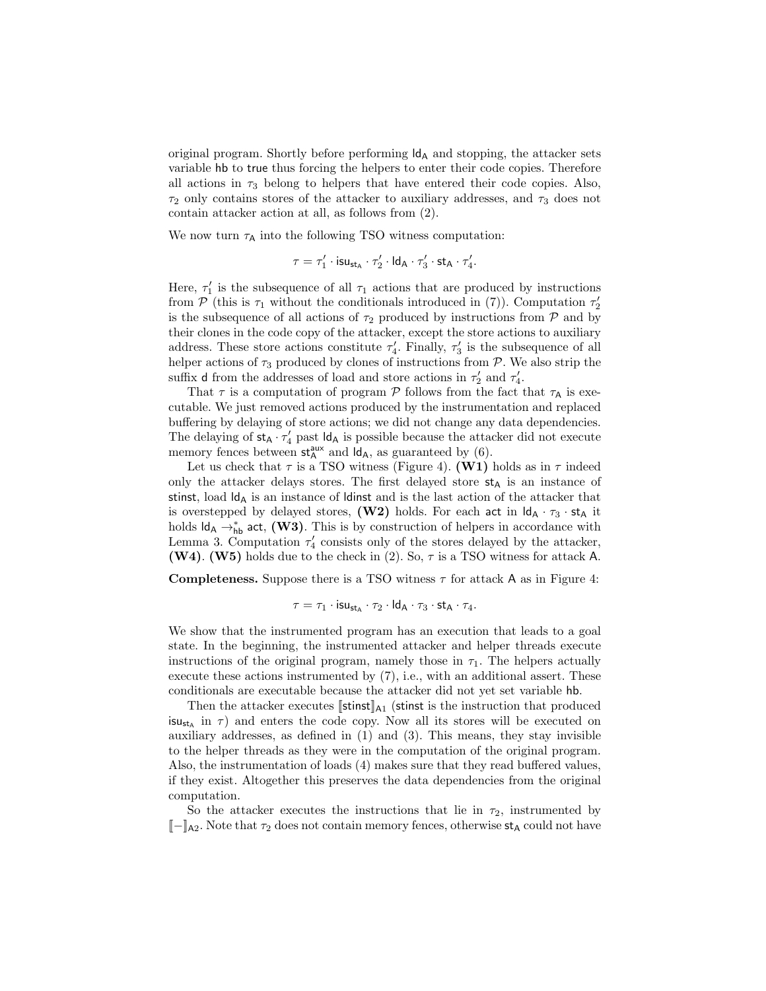original program. Shortly before performing  $\mathsf{Id}_A$  and stopping, the attacker sets variable hb to true thus forcing the helpers to enter their code copies. Therefore all actions in  $\tau_3$  belong to helpers that have entered their code copies. Also,  $\tau_2$  only contains stores of the attacker to auxiliary addresses, and  $\tau_3$  does not contain attacker action at all, as follows from [\(2\)](#page-11-1).

We now turn  $\tau_\mathsf{A}$  into the following TSO witness computation:

$$
\tau = \tau_1' \cdot \mathsf{isu}_{\mathsf{st}_\mathsf{A}} \cdot \tau_2' \cdot \mathsf{Id}_\mathsf{A} \cdot \tau_3' \cdot \mathsf{st}_\mathsf{A} \cdot \tau_4'.
$$

Here,  $\tau'_1$  is the subsequence of all  $\tau_1$  actions that are produced by instructions from  $\overline{P}$  (this is  $\tau_1$  without the conditionals introduced in [\(7\)](#page-13-1)). Computation  $\tau_2'$ is the subsequence of all actions of  $\tau_2$  produced by instructions from  $\mathcal P$  and by their clones in the code copy of the attacker, except the store actions to auxiliary address. These store actions constitute  $\tau'_4$ . Finally,  $\tau'_3$  is the subsequence of all helper actions of  $\tau_3$  produced by clones of instructions from  $P$ . We also strip the suffix **d** from the addresses of load and store actions in  $\tau'_2$  and  $\tau'_4$ .

That  $\tau$  is a computation of program  $\mathcal P$  follows from the fact that  $\tau_A$  is executable. We just removed actions produced by the instrumentation and replaced buffering by delaying of store actions; we did not change any data dependencies. The delaying of  $st_A \cdot \tau'_4$  past  $\mathsf{Id}_A$  is possible because the attacker did not execute memory fences between  $st_A^{aux}$  and  $\mathsf{Id}_A$ , as guaranteed by [\(6\)](#page-11-1).

Let us check that  $\tau$  is a TSO witness (Figure [4\)](#page-8-0). (W1) holds as in  $\tau$  indeed only the attacker delays stores. The first delayed store  $st_A$  is an instance of stinst, load  $\mathsf{Id}_A$  is an instance of ldinst and is the last action of the attacker that is overstepped by delayed stores, (W2) holds. For each act in  $\mathsf{Id}_A \cdot \tau_3 \cdot \mathsf{st}_A$  it holds  $\mathsf{Id}_\mathsf{A} \to_{\mathsf{hb}}^*$  act, (W3). This is by construction of helpers in accordance with Lemma [3.](#page-12-2) Computation  $\tau'_{4}$  consists only of the stores delayed by the attacker, (W4). (W5) holds due to the check in [\(2\)](#page-11-1). So,  $\tau$  is a TSO witness for attack A.

**Completeness.** Suppose there is a TSO witness  $\tau$  for attack A as in Figure [4:](#page-8-0)

$$
\tau = \tau_1 \cdot \mathsf{isu}_{\mathsf{st}_\mathsf{A}} \cdot \tau_2 \cdot \mathsf{Id}_\mathsf{A} \cdot \tau_3 \cdot \mathsf{st}_\mathsf{A} \cdot \tau_4.
$$

We show that the instrumented program has an execution that leads to a goal state. In the beginning, the instrumented attacker and helper threads execute instructions of the original program, namely those in  $\tau_1$ . The helpers actually execute these actions instrumented by [\(7\)](#page-13-1), i.e., with an additional assert. These conditionals are executable because the attacker did not yet set variable hb.

Then the attacker executes  $\left[\right]$ stinst is the instruction that produced  $\mathsf{isu}_{\mathsf{st}_A}$  in  $\tau$ ) and enters the code copy. Now all its stores will be executed on auxiliary addresses, as defined in [\(1\)](#page-11-1) and [\(3\)](#page-11-1). This means, they stay invisible to the helper threads as they were in the computation of the original program. Also, the instrumentation of loads [\(4\)](#page-11-1) makes sure that they read buffered values, if they exist. Altogether this preserves the data dependencies from the original computation.

So the attacker executes the instructions that lie in  $\tau_2$ , instrumented by  $[-]$ <sub>A2</sub>. Note that  $\tau_2$  does not contain memory fences, otherwise  $st_A$  could not have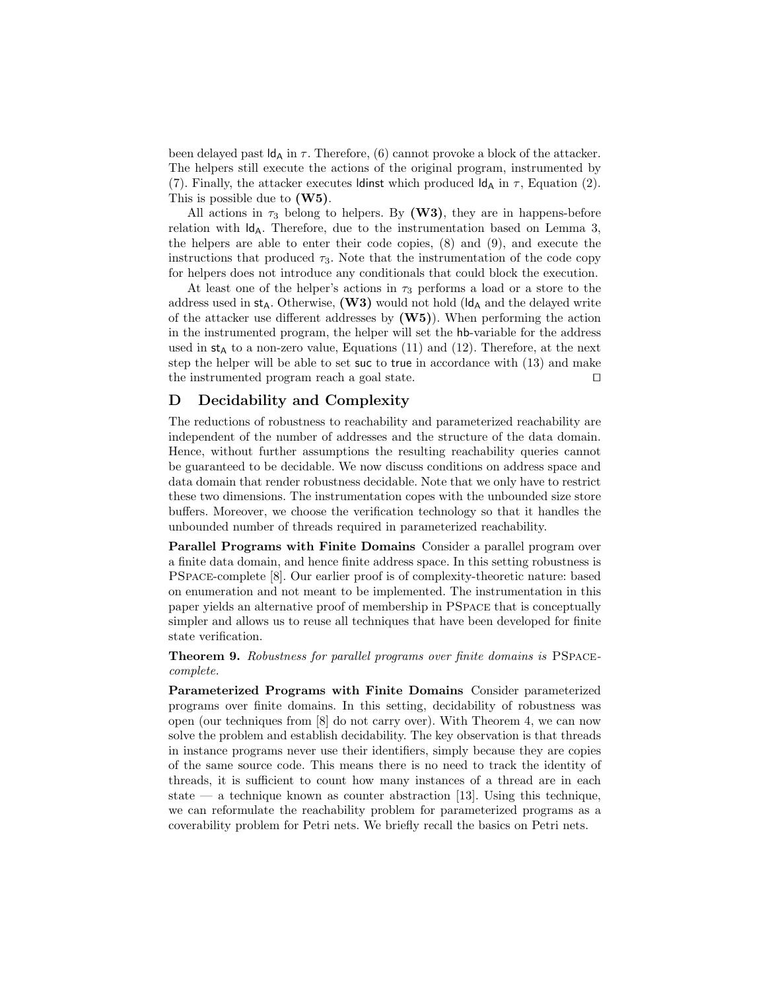been delayed past  $\mathsf{Id}_A$  in  $\tau$ . Therefore, [\(6\)](#page-11-1) cannot provoke a block of the attacker. The helpers still execute the actions of the original program, instrumented by [\(7\)](#page-13-1). Finally, the attacker executes ldinst which produced  $\mathsf{Id}_A$  in  $\tau$ , Equation [\(2\)](#page-11-1). This is possible due to (W5).

All actions in  $\tau_3$  belong to helpers. By (W3), they are in happens-before relation with  $\mathsf{Id}_A$ . Therefore, due to the instrumentation based on Lemma [3,](#page-12-2) the helpers are able to enter their code copies, [\(8\)](#page-13-1) and [\(9\)](#page-13-1), and execute the instructions that produced  $\tau_3$ . Note that the instrumentation of the code copy for helpers does not introduce any conditionals that could block the execution.

At least one of the helper's actions in  $\tau_3$  performs a load or a store to the address used in  $st_A$ . Otherwise, (W3) would not hold ( $\mathsf{Id}_A$  and the delayed write of the attacker use different addresses by  $(W5)$ ). When performing the action in the instrumented program, the helper will set the hb-variable for the address used in  $st_A$  to a non-zero value, Equations [\(11\)](#page-13-1) and [\(12\)](#page-13-1). Therefore, at the next step the helper will be able to set suc to true in accordance with [\(13\)](#page-13-1) and make the instrumented program reach a goal state. ⊓⊔

# D Decidability and Complexity

The reductions of robustness to reachability and parameterized reachability are independent of the number of addresses and the structure of the data domain. Hence, without further assumptions the resulting reachability queries cannot be guaranteed to be decidable. We now discuss conditions on address space and data domain that render robustness decidable. Note that we only have to restrict these two dimensions. The instrumentation copes with the unbounded size store buffers. Moreover, we choose the verification technology so that it handles the unbounded number of threads required in parameterized reachability.

Parallel Programs with Finite Domains Consider a parallel program over a finite data domain, and hence finite address space. In this setting robustness is PSpace-complete [\[8\]](#page-19-5). Our earlier proof is of complexity-theoretic nature: based on enumeration and not meant to be implemented. The instrumentation in this paper yields an alternative proof of membership in PSpace that is conceptually simpler and allows us to reuse all techniques that have been developed for finite state verification.

Theorem 9. Robustness for parallel programs over finite domains is PSPACEcomplete.

Parameterized Programs with Finite Domains Consider parameterized programs over finite domains. In this setting, decidability of robustness was open (our techniques from [\[8\]](#page-19-5) do not carry over). With Theorem [4,](#page-15-1) we can now solve the problem and establish decidability. The key observation is that threads in instance programs never use their identifiers, simply because they are copies of the same source code. This means there is no need to track the identity of threads, it is sufficient to count how many instances of a thread are in each state — a technique known as counter abstraction [\[13\]](#page-19-14). Using this technique, we can reformulate the reachability problem for parameterized programs as a coverability problem for Petri nets. We briefly recall the basics on Petri nets.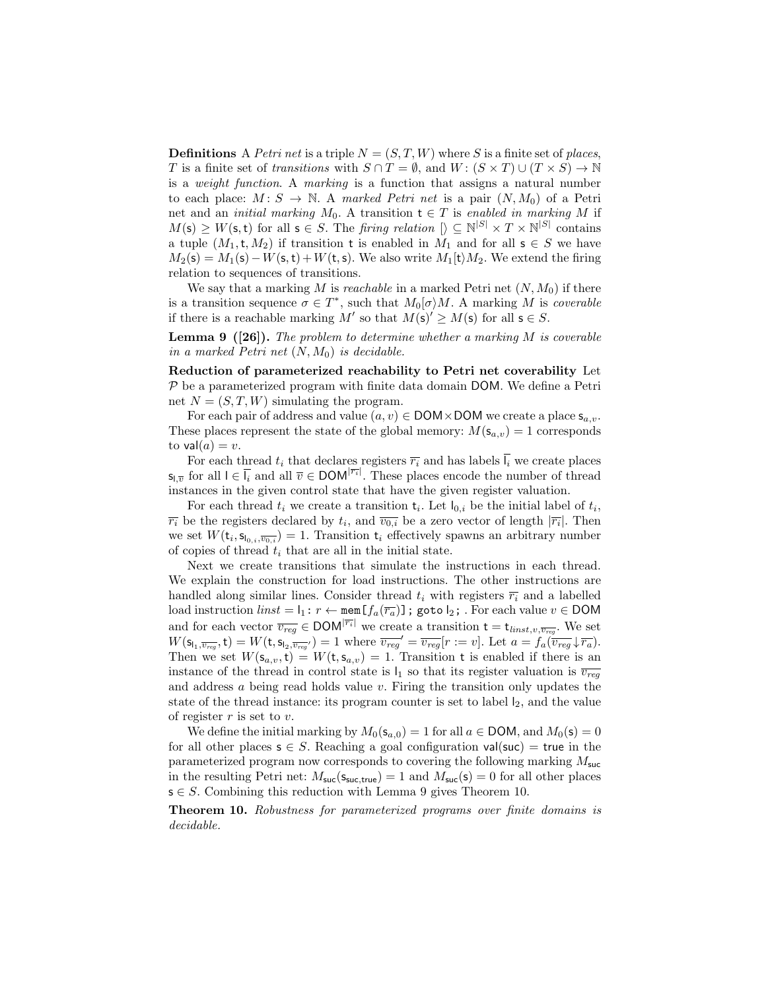**Definitions** A Petri net is a triple  $N = (S, T, W)$  where S is a finite set of places, T is a finite set of transitions with  $S \cap T = \emptyset$ , and  $W : (S \times T) \cup (T \times S) \rightarrow \mathbb{N}$ is a weight function. A marking is a function that assigns a natural number to each place:  $M: S \to \mathbb{N}$ . A marked Petri net is a pair  $(N, M_0)$  of a Petri net and an *initial marking*  $M_0$ . A transition  $t \in T$  is enabled in marking M if  $M(s) \geq W(s,t)$  for all  $s \in S$ . The *firing relation*  $[\rangle \subseteq N^{|S|} \times T \times N^{|S|}$  contains a tuple  $(M_1, t, M_2)$  if transition t is enabled in  $M_1$  and for all  $s \in S$  we have  $M_2(s) = M_1(s) - W(s,t) + W(t,s)$ . We also write  $M_1(t)M_2$ . We extend the firing relation to sequences of transitions.

<span id="page-27-0"></span>We say that a marking M is reachable in a marked Petri net  $(N, M_0)$  if there is a transition sequence  $\sigma \in T^*$ , such that  $M_0[\sigma\rangle M$ . A marking M is *coverable* if there is a reachable marking M' so that  $M(s)' \ge M(s)$  for all  $s \in S$ .

**Lemma 9** ([\[26\]](#page-20-3)). The problem to determine whether a marking  $M$  is coverable in a marked Petri net  $(N, M_0)$  is decidable.

Reduction of parameterized reachability to Petri net coverability Let  $P$  be a parameterized program with finite data domain DOM. We define a Petri net  $N = (S, T, W)$  simulating the program.

For each pair of address and value  $(a, v) \in$  DOM  $\times$  DOM we create a place  $\mathsf{s}_{a,v}$ . These places represent the state of the global memory:  $M(\mathbf{s}_{a,v}) = 1$  corresponds to  $val(a) = v$ .

For each thread  $t_i$  that declares registers  $\overline{r_i}$  and has labels  $\overline{l_i}$  we create places  $\mathsf{s}_{\mathsf{l},\overline{v}}$  for all  $\mathsf{l} \in \overline{\mathsf{l}_i}$  and all  $\overline{v} \in \mathsf{DOM}^{|\overline{r_i}|}$ . These places encode the number of thread instances in the given control state that have the given register valuation.

For each thread  $t_i$  we create a transition  $\mathsf{t}_i$ . Let  $\mathsf{I}_{0,i}$  be the initial label of  $t_i$ ,  $\overline{r_i}$  be the registers declared by  $t_i$ , and  $\overline{v_{0,i}}$  be a zero vector of length  $|\overline{r_i}|$ . Then we set  $W(\mathbf{t}_i, \mathbf{s}_{\mathsf{I}_{0,i}, \overline{v_{0,i}}}) = 1$ . Transition  $\mathbf{t}_i$  effectively spawns an arbitrary number of copies of thread  $t_i$  that are all in the initial state.

Next we create transitions that simulate the instructions in each thread. We explain the construction for load instructions. The other instructions are handled along similar lines. Consider thread  $t_i$  with registers  $\overline{r_i}$  and a labelled load instruction  $\text{link} = I_1: r \leftarrow \text{mem}[f_a(\overline{r_a})]$ ; goto  $I_2$ ; . For each value  $v \in$  DOM and for each vector  $\overline{v_{reg}} \in \text{DOM}^{|\overline{r_i}|}$  we create a transition  $t = t_{\text{limits},v,\overline{v_{reg}}}$ . We set  $W(\mathsf{s}_{\mathsf{l}_1,\overline{v_{reg}}},\mathsf{t})=W(\mathsf{t},\mathsf{s}_{\mathsf{l}_2,\overline{v_{reg}}})=1$  where  $\overline{v_{reg}}'=\overline{v_{reg}}[r:=v]$ . Let  $a=f_a(\overline{v_{reg}}\downarrow\overline{r_a})$ . Then we set  $W(s_{a,v},t) = W(t,s_{a,v}) = 1$ . Transition t is enabled if there is an instance of the thread in control state is  $I_1$  so that its register valuation is  $\overline{v_{req}}$ and address  $a$  being read holds value  $v$ . Firing the transition only updates the state of the thread instance: its program counter is set to label  $I_2$ , and the value of register  $r$  is set to  $v$ .

We define the initial marking by  $M_0(s_{a,0}) = 1$  for all  $a \in$  DOM, and  $M_0(s) = 0$ for all other places  $s \in S$ . Reaching a goal configuration val(suc) = true in the parameterized program now corresponds to covering the following marking  $M_{\text{succ}}$ in the resulting Petri net:  $M_{\text{succ}}(s_{\text{succ,true}}) = 1$  and  $M_{\text{succ}}(s) = 0$  for all other places  $s \in S$ . Combining this reduction with Lemma [9](#page-27-0) gives Theorem [10.](#page-27-1)

<span id="page-27-1"></span>Theorem 10. Robustness for parameterized programs over finite domains is decidable.